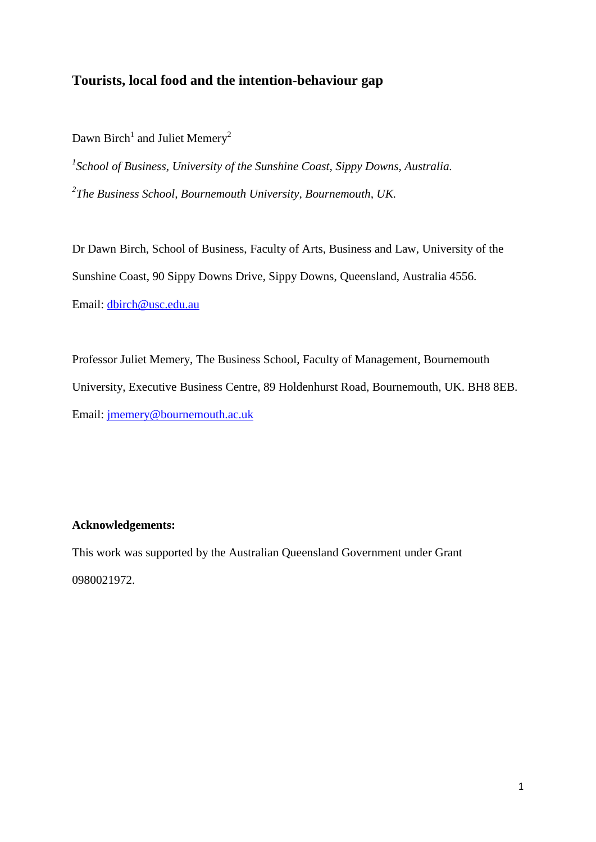# **Tourists, local food and the intention-behaviour gap**

Dawn Birch<sup>1</sup> and Juliet Memery<sup>2</sup>

*1 School of Business, University of the Sunshine Coast, Sippy Downs, Australia. 2 The Business School, Bournemouth University, Bournemouth, UK.*

Dr Dawn Birch, School of Business, Faculty of Arts, Business and Law, University of the Sunshine Coast, 90 Sippy Downs Drive, Sippy Downs, Queensland, Australia 4556. Email: [dbirch@usc.edu.au](mailto:dbirch@usc.edu.au)

Professor Juliet Memery, The Business School, Faculty of Management, Bournemouth University, Executive Business Centre, 89 Holdenhurst Road, Bournemouth, UK. BH8 8EB. Email: [jmemery@bournemouth.ac.uk](mailto:jmemery@bournemouth.ac.uk)

# **Acknowledgements:**

This work was supported by the Australian Queensland Government under Grant 0980021972.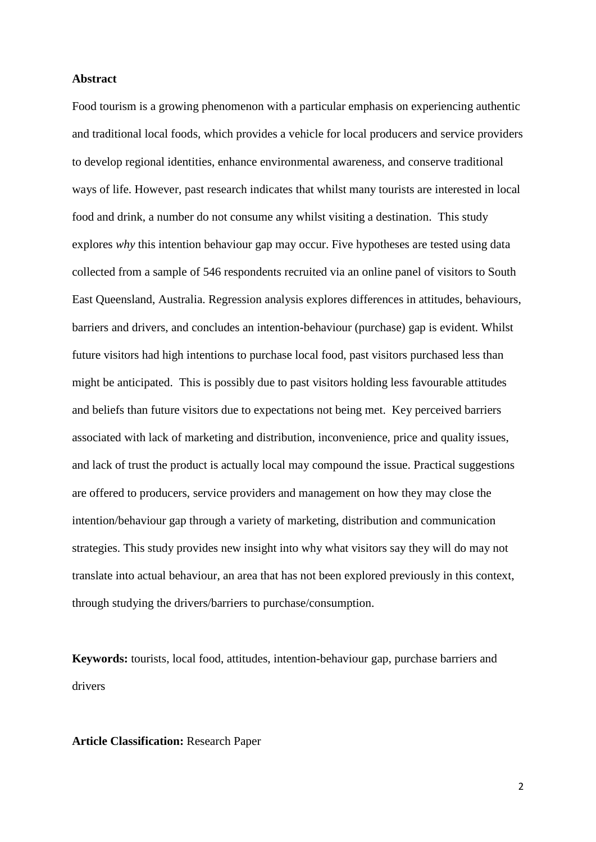#### **Abstract**

Food tourism is a growing phenomenon with a particular emphasis on experiencing authentic and traditional local foods, which provides a vehicle for local producers and service providers to develop regional identities, enhance environmental awareness, and conserve traditional ways of life. However, past research indicates that whilst many tourists are interested in local food and drink, a number do not consume any whilst visiting a destination. This study explores *why* this intention behaviour gap may occur. Five hypotheses are tested using data collected from a sample of 546 respondents recruited via an online panel of visitors to South East Queensland, Australia. Regression analysis explores differences in attitudes, behaviours, barriers and drivers, and concludes an intention-behaviour (purchase) gap is evident. Whilst future visitors had high intentions to purchase local food, past visitors purchased less than might be anticipated. This is possibly due to past visitors holding less favourable attitudes and beliefs than future visitors due to expectations not being met. Key perceived barriers associated with lack of marketing and distribution, inconvenience, price and quality issues, and lack of trust the product is actually local may compound the issue. Practical suggestions are offered to producers, service providers and management on how they may close the intention/behaviour gap through a variety of marketing, distribution and communication strategies. This study provides new insight into why what visitors say they will do may not translate into actual behaviour, an area that has not been explored previously in this context, through studying the drivers/barriers to purchase/consumption.

**Keywords:** tourists, local food, attitudes, intention-behaviour gap, purchase barriers and drivers

### **Article Classification:** Research Paper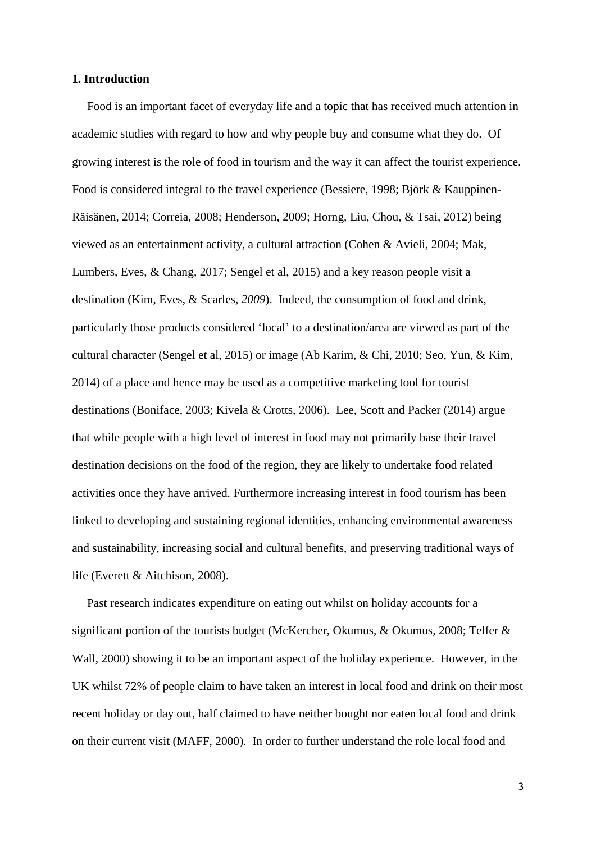#### **1. Introduction**

 Food is an important facet of everyday life and a topic that has received much attention in academic studies with regard to how and why people buy and consume what they do. Of growing interest is the role of food in tourism and the way it can affect the tourist experience. Food is considered integral to the travel experience (Bessiere, 1998; Björk & Kauppinen-Räisänen, 2014; Correia, 2008; Henderson, 2009; Horng, Liu, Chou, & Tsai, 2012) being viewed as an entertainment activity, a cultural attraction (Cohen & Avieli, 2004; Mak, Lumbers, Eves, & Chang, 2017; Sengel et al, 2015) and a key reason people visit a destination (Kim, Eves, & Scarles*, 2009*). Indeed, the consumption of food and drink, particularly those products considered 'local' to a destination/area are viewed as part of the cultural character (Sengel et al, 2015) or image (Ab Karim, & Chi, 2010; Seo, Yun, & Kim, 2014) of a place and hence may be used as a competitive marketing tool for tourist destinations (Boniface, 2003; Kivela & Crotts, 2006). Lee, Scott and Packer (2014) argue that while people with a high level of interest in food may not primarily base their travel destination decisions on the food of the region, they are likely to undertake food related activities once they have arrived. Furthermore increasing interest in food tourism has been linked to developing and sustaining regional identities, enhancing environmental awareness and sustainability, increasing social and cultural benefits, and preserving traditional ways of life (Everett & Aitchison, 2008).

 Past research indicates expenditure on eating out whilst on holiday accounts for a significant portion of the tourists budget (McKercher, Okumus, & Okumus, 2008; Telfer & Wall, 2000) showing it to be an important aspect of the holiday experience. However, in the UK whilst 72% of people claim to have taken an interest in local food and drink on their most recent holiday or day out, half claimed to have neither bought nor eaten local food and drink on their current visit (MAFF, 2000). In order to further understand the role local food and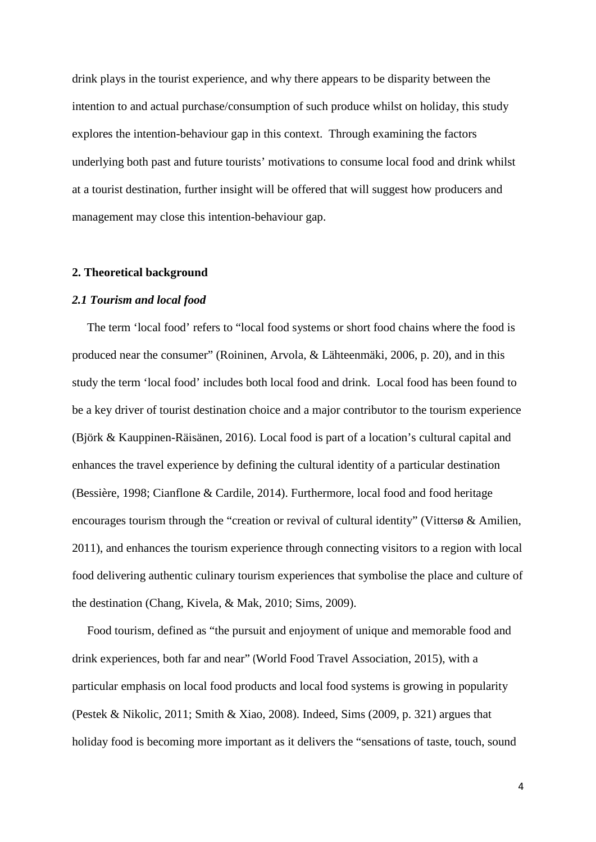drink plays in the tourist experience, and why there appears to be disparity between the intention to and actual purchase/consumption of such produce whilst on holiday, this study explores the intention-behaviour gap in this context. Through examining the factors underlying both past and future tourists' motivations to consume local food and drink whilst at a tourist destination, further insight will be offered that will suggest how producers and management may close this intention-behaviour gap.

#### **2. Theoretical background**

### *2.1 Tourism and local food*

 The term 'local food' refers to "local food systems or short food chains where the food is produced near the consumer" (Roininen, Arvola, & Lähteenmäki, 2006, p. 20), and in this study the term 'local food' includes both local food and drink. Local food has been found to be a key driver of tourist destination choice and a major contributor to the tourism experience (Björk & Kauppinen-Räisänen, 2016). Local food is part of a location's cultural capital and enhances the travel experience by defining the cultural identity of a particular destination (Bessière, 1998; Cianflone & Cardile, 2014). Furthermore, local food and food heritage encourages tourism through the "creation or revival of cultural identity" (Vittersø & Amilien, 2011), and enhances the tourism experience through connecting visitors to a region with local food delivering authentic culinary tourism experiences that symbolise the place and culture of the destination (Chang, Kivela, & Mak, 2010; Sims, 2009).

 Food tourism, defined as "the pursuit and enjoyment of unique and memorable food and drink experiences, both far and near" (World Food Travel Association, 2015), with a particular emphasis on local food products and local food systems is growing in popularity (Pestek & Nikolic, 2011; Smith & Xiao, 2008). Indeed, Sims (2009, p. 321) argues that holiday food is becoming more important as it delivers the "sensations of taste, touch, sound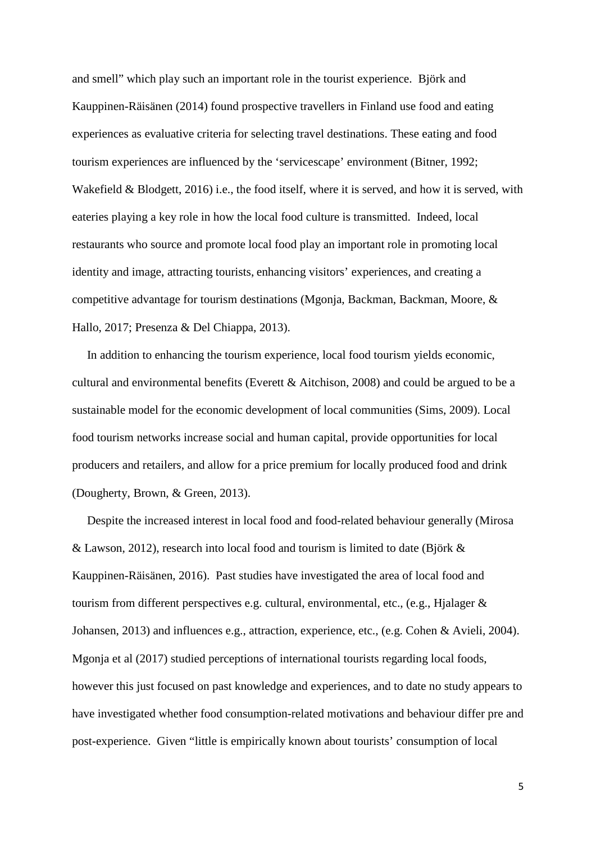and smell" which play such an important role in the tourist experience. Björk and Kauppinen-Räisänen (2014) found prospective travellers in Finland use food and eating experiences as evaluative criteria for selecting travel destinations. These eating and food tourism experiences are influenced by the 'servicescape' environment (Bitner, 1992; Wakefield & Blodgett, 2016) i.e., the food itself, where it is served, and how it is served, with eateries playing a key role in how the local food culture is transmitted. Indeed, local restaurants who source and promote local food play an important role in promoting local identity and image, attracting tourists, enhancing visitors' experiences, and creating a competitive advantage for tourism destinations (Mgonja, Backman, Backman, Moore, & Hallo, 2017; Presenza & Del Chiappa, 2013).

 In addition to enhancing the tourism experience, local food tourism yields economic, cultural and environmental benefits (Everett & Aitchison, 2008) and could be argued to be a sustainable model for the economic development of local communities (Sims, 2009). Local food tourism networks increase social and human capital, provide opportunities for local producers and retailers, and allow for a price premium for locally produced food and drink (Dougherty, Brown, & Green, 2013).

 Despite the increased interest in local food and food-related behaviour generally (Mirosa & Lawson, 2012), research into local food and tourism is limited to date (Björk & Kauppinen-Räisänen, 2016). Past studies have investigated the area of local food and tourism from different perspectives e.g. cultural, environmental, etc., (e.g., Hjalager  $\&$ Johansen, 2013) and influences e.g., attraction, experience, etc., (e.g. Cohen & Avieli, 2004). Mgonja et al (2017) studied perceptions of international tourists regarding local foods, however this just focused on past knowledge and experiences, and to date no study appears to have investigated whether food consumption-related motivations and behaviour differ pre and post-experience. Given "little is empirically known about tourists' consumption of local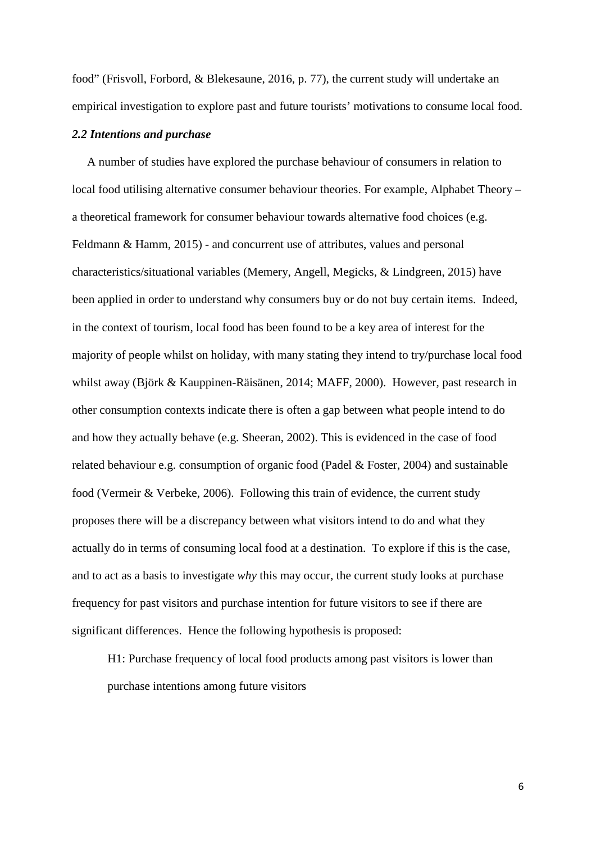food" (Frisvoll, Forbord, & Blekesaune, 2016, p. 77), the current study will undertake an empirical investigation to explore past and future tourists' motivations to consume local food.

#### *2.2 Intentions and purchase*

 A number of studies have explored the purchase behaviour of consumers in relation to local food utilising alternative consumer behaviour theories. For example, Alphabet Theory – a theoretical framework for consumer behaviour towards alternative food choices (e.g. Feldmann & Hamm, 2015) - and concurrent use of attributes, values and personal characteristics/situational variables (Memery, Angell, Megicks, & Lindgreen, 2015) have been applied in order to understand why consumers buy or do not buy certain items. Indeed, in the context of tourism, local food has been found to be a key area of interest for the majority of people whilst on holiday, with many stating they intend to try/purchase local food whilst away (Björk & Kauppinen-Räisänen, 2014; MAFF, 2000). However, past research in other consumption contexts indicate there is often a gap between what people intend to do and how they actually behave (e.g. Sheeran, 2002). This is evidenced in the case of food related behaviour e.g. consumption of organic food (Padel & Foster, 2004) and sustainable food (Vermeir & Verbeke, 2006). Following this train of evidence, the current study proposes there will be a discrepancy between what visitors intend to do and what they actually do in terms of consuming local food at a destination. To explore if this is the case, and to act as a basis to investigate *why* this may occur, the current study looks at purchase frequency for past visitors and purchase intention for future visitors to see if there are significant differences. Hence the following hypothesis is proposed:

H1: Purchase frequency of local food products among past visitors is lower than purchase intentions among future visitors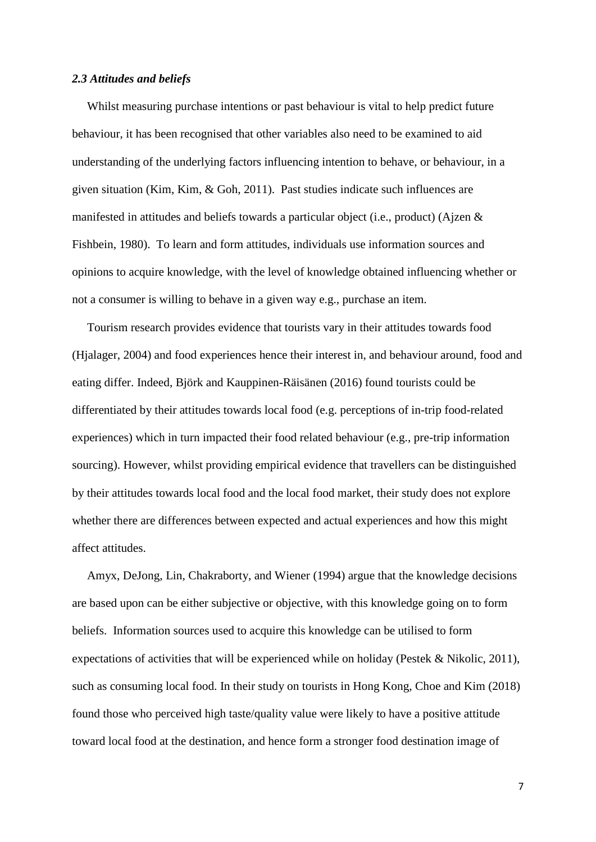#### *2.3 Attitudes and beliefs*

 Whilst measuring purchase intentions or past behaviour is vital to help predict future behaviour, it has been recognised that other variables also need to be examined to aid understanding of the underlying factors influencing intention to behave, or behaviour, in a given situation (Kim, Kim, & Goh, 2011). Past studies indicate such influences are manifested in attitudes and beliefs towards a particular object (i.e., product) (Ajzen & Fishbein, 1980). To learn and form attitudes, individuals use information sources and opinions to acquire knowledge, with the level of knowledge obtained influencing whether or not a consumer is willing to behave in a given way e.g., purchase an item.

 Tourism research provides evidence that tourists vary in their attitudes towards food (Hjalager, 2004) and food experiences hence their interest in, and behaviour around, food and eating differ. Indeed, Björk and Kauppinen-Räisänen (2016) found tourists could be differentiated by their attitudes towards local food (e.g. perceptions of in-trip food-related experiences) which in turn impacted their food related behaviour (e.g., pre-trip information sourcing). However, whilst providing empirical evidence that travellers can be distinguished by their attitudes towards local food and the local food market, their study does not explore whether there are differences between expected and actual experiences and how this might affect attitudes.

 Amyx, DeJong, Lin, Chakraborty, and Wiener (1994) argue that the knowledge decisions are based upon can be either subjective or objective, with this knowledge going on to form beliefs. Information sources used to acquire this knowledge can be utilised to form expectations of activities that will be experienced while on holiday (Pestek & Nikolic, 2011), such as consuming local food. In their study on tourists in Hong Kong, Choe and Kim (2018) found those who perceived high taste/quality value were likely to have a positive attitude toward local food at the destination, and hence form a stronger food destination image of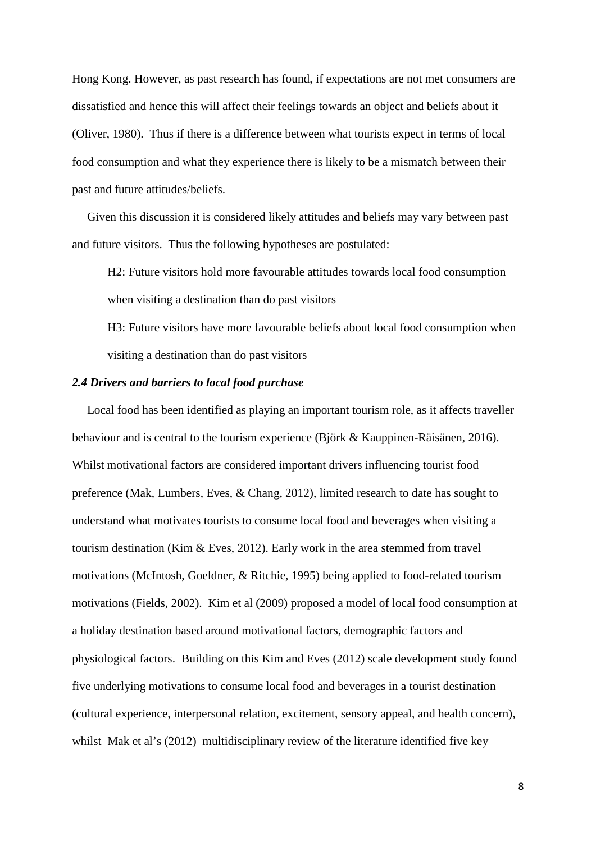Hong Kong. However, as past research has found, if expectations are not met consumers are dissatisfied and hence this will affect their feelings towards an object and beliefs about it (Oliver, 1980). Thus if there is a difference between what tourists expect in terms of local food consumption and what they experience there is likely to be a mismatch between their past and future attitudes/beliefs.

 Given this discussion it is considered likely attitudes and beliefs may vary between past and future visitors. Thus the following hypotheses are postulated:

H2: Future visitors hold more favourable attitudes towards local food consumption when visiting a destination than do past visitors

H3: Future visitors have more favourable beliefs about local food consumption when visiting a destination than do past visitors

## *2.4 Drivers and barriers to local food purchase*

 Local food has been identified as playing an important tourism role, as it affects traveller behaviour and is central to the tourism experience (Björk & Kauppinen-Räisänen, 2016). Whilst motivational factors are considered important drivers influencing tourist food preference (Mak, Lumbers, Eves, & Chang, 2012), limited research to date has sought to understand what motivates tourists to consume local food and beverages when visiting a tourism destination (Kim & Eves, 2012). Early work in the area stemmed from travel motivations (McIntosh, Goeldner, & Ritchie, 1995) being applied to food-related tourism motivations (Fields, 2002). Kim et al (2009) proposed a model of local food consumption at a holiday destination based around motivational factors, demographic factors and physiological factors. Building on this Kim and Eves (2012) scale development study found five underlying motivations to consume local food and beverages in a tourist destination (cultural experience, interpersonal relation, excitement, sensory appeal, and health concern), whilst Mak et al's (2012) multidisciplinary review of the literature identified five key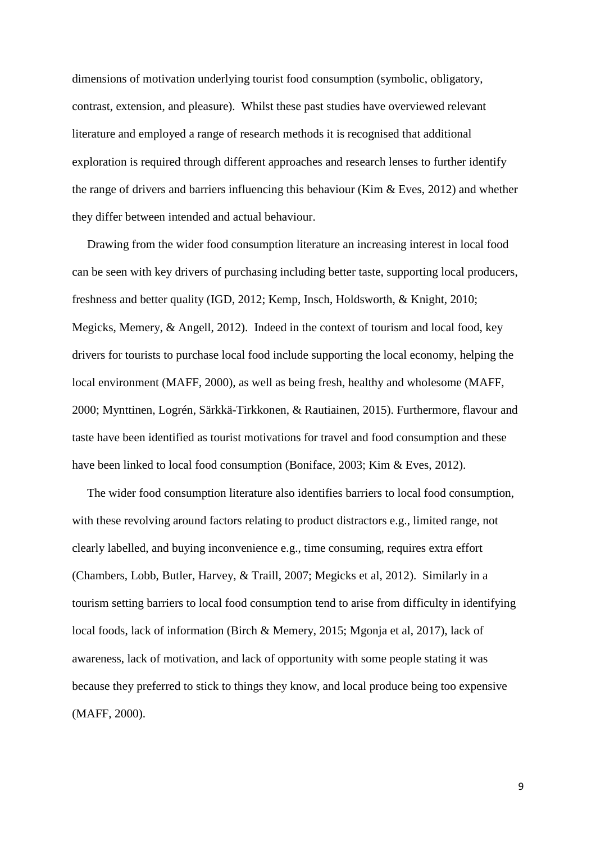dimensions of motivation underlying tourist food consumption (symbolic, obligatory, contrast, extension, and pleasure). Whilst these past studies have overviewed relevant literature and employed a range of research methods it is recognised that additional exploration is required through different approaches and research lenses to further identify the range of drivers and barriers influencing this behaviour (Kim & Eves, 2012) and whether they differ between intended and actual behaviour.

 Drawing from the wider food consumption literature an increasing interest in local food can be seen with key drivers of purchasing including better taste, supporting local producers, freshness and better quality (IGD, 2012; Kemp, Insch, Holdsworth, & Knight, 2010; Megicks, Memery, & Angell, 2012). Indeed in the context of tourism and local food, key drivers for tourists to purchase local food include supporting the local economy, helping the local environment (MAFF, 2000), as well as being fresh, healthy and wholesome (MAFF, 2000; Mynttinen, Logrén, Särkkä-Tirkkonen, & Rautiainen, 2015). Furthermore, flavour and taste have been identified as tourist motivations for travel and food consumption and these have been linked to local food consumption (Boniface, 2003; Kim & Eves, 2012).

 The wider food consumption literature also identifies barriers to local food consumption, with these revolving around factors relating to product distractors e.g., limited range, not clearly labelled, and buying inconvenience e.g., time consuming, requires extra effort (Chambers, Lobb, Butler, Harvey, & Traill, 2007; Megicks et al, 2012). Similarly in a tourism setting barriers to local food consumption tend to arise from difficulty in identifying local foods, lack of information (Birch & Memery, 2015; Mgonja et al, 2017), lack of awareness, lack of motivation, and lack of opportunity with some people stating it was because they preferred to stick to things they know, and local produce being too expensive (MAFF, 2000).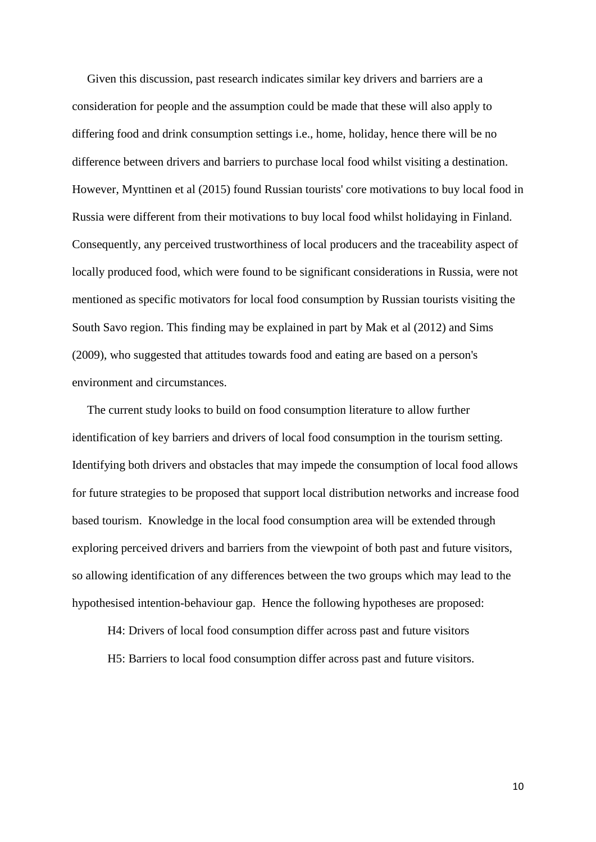Given this discussion, past research indicates similar key drivers and barriers are a consideration for people and the assumption could be made that these will also apply to differing food and drink consumption settings i.e., home, holiday, hence there will be no difference between drivers and barriers to purchase local food whilst visiting a destination. However, Mynttinen et al (2015) found Russian tourists' core motivations to buy local food in Russia were different from their motivations to buy local food whilst holidaying in Finland. Consequently, any perceived trustworthiness of local producers and the traceability aspect of locally produced food, which were found to be significant considerations in Russia, were not mentioned as specific motivators for local food consumption by Russian tourists visiting the South Savo region. This finding may be explained in part by Mak et al (2012) and Sims (2009), who suggested that attitudes towards food and eating are based on a person's environment and circumstances.

 The current study looks to build on food consumption literature to allow further identification of key barriers and drivers of local food consumption in the tourism setting. Identifying both drivers and obstacles that may impede the consumption of local food allows for future strategies to be proposed that support local distribution networks and increase food based tourism. Knowledge in the local food consumption area will be extended through exploring perceived drivers and barriers from the viewpoint of both past and future visitors, so allowing identification of any differences between the two groups which may lead to the hypothesised intention-behaviour gap. Hence the following hypotheses are proposed:

H4: Drivers of local food consumption differ across past and future visitors H5: Barriers to local food consumption differ across past and future visitors.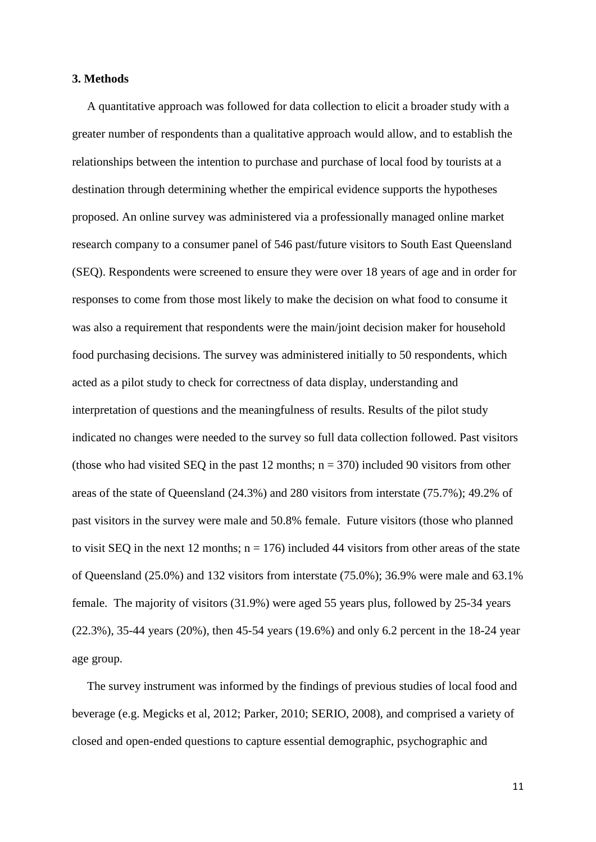#### **3. Methods**

 A quantitative approach was followed for data collection to elicit a broader study with a greater number of respondents than a qualitative approach would allow, and to establish the relationships between the intention to purchase and purchase of local food by tourists at a destination through determining whether the empirical evidence supports the hypotheses proposed. An online survey was administered via a professionally managed online market research company to a consumer panel of 546 past/future visitors to South East Queensland (SEQ). Respondents were screened to ensure they were over 18 years of age and in order for responses to come from those most likely to make the decision on what food to consume it was also a requirement that respondents were the main/joint decision maker for household food purchasing decisions. The survey was administered initially to 50 respondents, which acted as a pilot study to check for correctness of data display, understanding and interpretation of questions and the meaningfulness of results. Results of the pilot study indicated no changes were needed to the survey so full data collection followed. Past visitors (those who had visited SEQ in the past 12 months;  $n = 370$ ) included 90 visitors from other areas of the state of Queensland (24.3%) and 280 visitors from interstate (75.7%); 49.2% of past visitors in the survey were male and 50.8% female. Future visitors (those who planned to visit SEQ in the next 12 months;  $n = 176$ ) included 44 visitors from other areas of the state of Queensland (25.0%) and 132 visitors from interstate (75.0%); 36.9% were male and 63.1% female. The majority of visitors (31.9%) were aged 55 years plus, followed by 25-34 years (22.3%), 35-44 years (20%), then 45-54 years (19.6%) and only 6.2 percent in the 18-24 year age group.

 The survey instrument was informed by the findings of previous studies of local food and beverage (e.g. Megicks et al, 2012; Parker, 2010; SERIO, 2008), and comprised a variety of closed and open-ended questions to capture essential demographic, psychographic and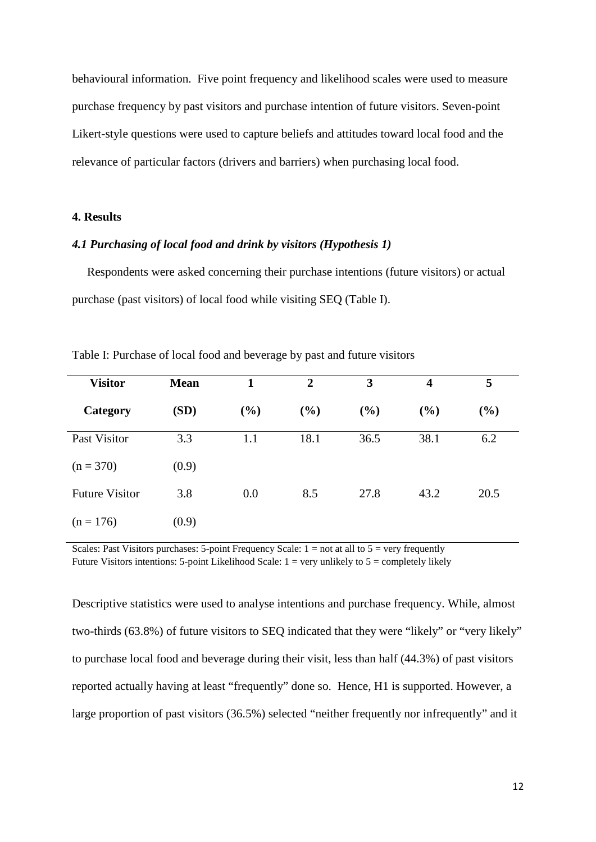behavioural information. Five point frequency and likelihood scales were used to measure purchase frequency by past visitors and purchase intention of future visitors. Seven-point Likert-style questions were used to capture beliefs and attitudes toward local food and the relevance of particular factors (drivers and barriers) when purchasing local food.

# **4. Results**

#### *4.1 Purchasing of local food and drink by visitors (Hypothesis 1)*

 Respondents were asked concerning their purchase intentions (future visitors) or actual purchase (past visitors) of local food while visiting SEQ (Table I).

| <b>Visitor</b>        | <b>Mean</b> | 1      | $\overline{2}$ | 3    | 4    | 5    |
|-----------------------|-------------|--------|----------------|------|------|------|
| Category              | (SD)        | $(\%)$ | $(\%)$         | (%)  | (%)  | (%)  |
| Past Visitor          | 3.3         | 1.1    | 18.1           | 36.5 | 38.1 | 6.2  |
| $(n = 370)$           | (0.9)       |        |                |      |      |      |
| <b>Future Visitor</b> | 3.8         | 0.0    | 8.5            | 27.8 | 43.2 | 20.5 |
| $(n = 176)$           | (0.9)       |        |                |      |      |      |

Table I: Purchase of local food and beverage by past and future visitors

Scales: Past Visitors purchases: 5-point Frequency Scale:  $1 = not at all to 5 = very frequently$ Future Visitors intentions: 5-point Likelihood Scale:  $1 = \text{very unlikely to } 5 = \text{completely likely}$ 

Descriptive statistics were used to analyse intentions and purchase frequency. While, almost two-thirds (63.8%) of future visitors to SEQ indicated that they were "likely" or "very likely" to purchase local food and beverage during their visit, less than half (44.3%) of past visitors reported actually having at least "frequently" done so. Hence, H1 is supported. However, a large proportion of past visitors (36.5%) selected "neither frequently nor infrequently" and it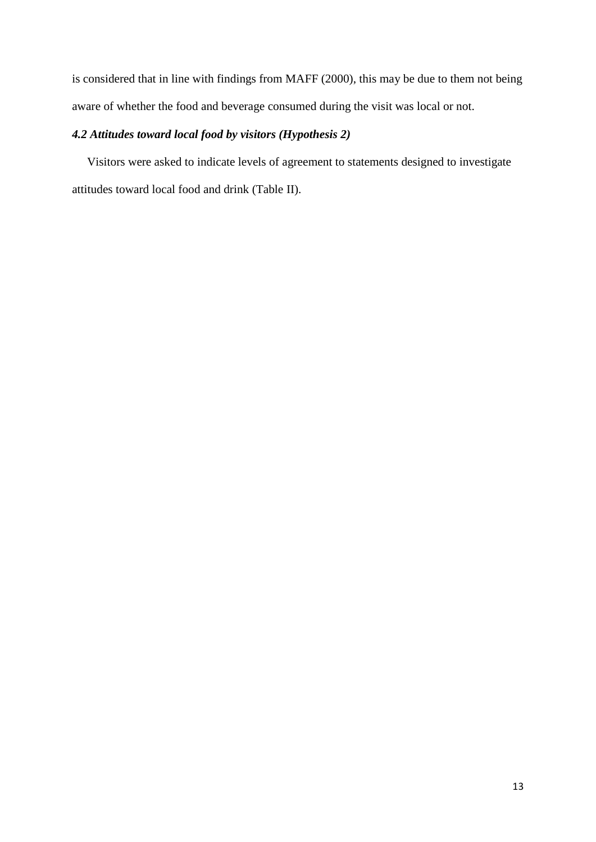is considered that in line with findings from MAFF (2000), this may be due to them not being aware of whether the food and beverage consumed during the visit was local or not.

# *4.2 Attitudes toward local food by visitors (Hypothesis 2)*

 Visitors were asked to indicate levels of agreement to statements designed to investigate attitudes toward local food and drink (Table II).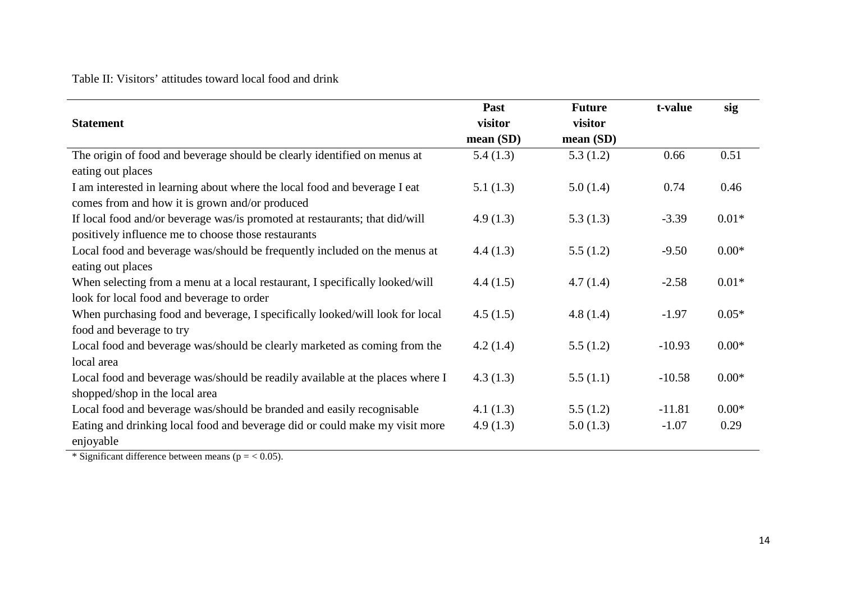Table II: Visitors' attitudes toward local food and drink

|                                                                               | Past     | <b>Future</b> | t-value  | sig     |
|-------------------------------------------------------------------------------|----------|---------------|----------|---------|
| <b>Statement</b>                                                              | visitor  | visitor       |          |         |
|                                                                               | mean(SD) | mean (SD)     |          |         |
| The origin of food and beverage should be clearly identified on menus at      | 5.4(1.3) | 5.3(1.2)      | 0.66     | 0.51    |
| eating out places                                                             |          |               |          |         |
| I am interested in learning about where the local food and beverage I eat     | 5.1(1.3) | 5.0(1.4)      | 0.74     | 0.46    |
| comes from and how it is grown and/or produced                                |          |               |          |         |
| If local food and/or beverage was/is promoted at restaurants; that did/will   | 4.9(1.3) | 5.3(1.3)      | $-3.39$  | $0.01*$ |
| positively influence me to choose those restaurants                           |          |               |          |         |
| Local food and beverage was/should be frequently included on the menus at     | 4.4(1.3) | 5.5(1.2)      | $-9.50$  | $0.00*$ |
| eating out places                                                             |          |               |          |         |
| When selecting from a menu at a local restaurant, I specifically looked/will  | 4.4(1.5) | 4.7(1.4)      | $-2.58$  | $0.01*$ |
| look for local food and beverage to order                                     |          |               |          |         |
| When purchasing food and beverage, I specifically looked/will look for local  | 4.5(1.5) | 4.8(1.4)      | $-1.97$  | $0.05*$ |
| food and beverage to try                                                      |          |               |          |         |
| Local food and beverage was/should be clearly marketed as coming from the     | 4.2(1.4) | 5.5(1.2)      | $-10.93$ | $0.00*$ |
| local area                                                                    |          |               |          |         |
| Local food and beverage was/should be readily available at the places where I | 4.3(1.3) | 5.5(1.1)      | $-10.58$ | $0.00*$ |
| shopped/shop in the local area                                                |          |               |          |         |
| Local food and beverage was/should be branded and easily recognisable         | 4.1(1.3) | 5.5(1.2)      | $-11.81$ | $0.00*$ |
| Eating and drinking local food and beverage did or could make my visit more   | 4.9(1.3) | 5.0(1.3)      | $-1.07$  | 0.29    |
| enjoyable                                                                     |          |               |          |         |

\* Significant difference between means ( $p = < 0.05$ ).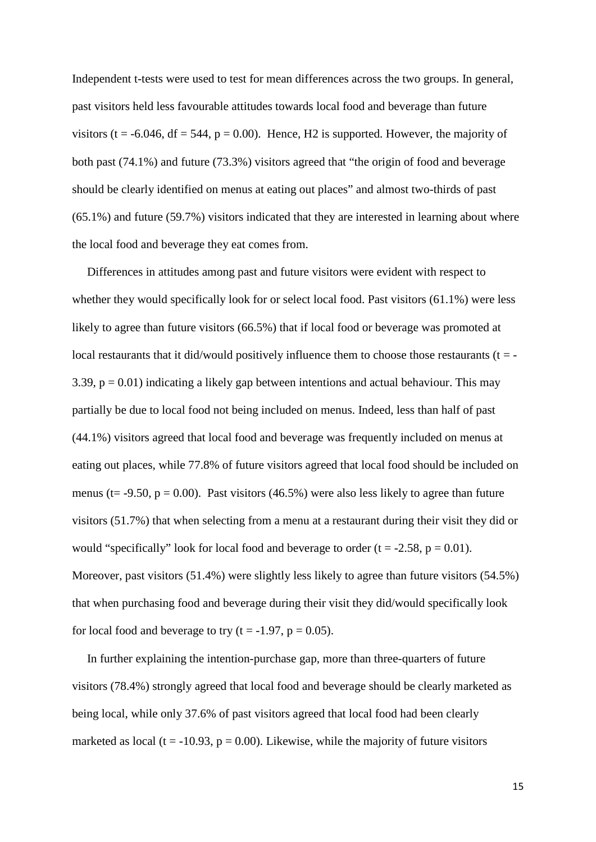Independent t-tests were used to test for mean differences across the two groups. In general, past visitors held less favourable attitudes towards local food and beverage than future visitors (t = -6.046, df = 544, p = 0.00). Hence, H2 is supported. However, the majority of both past (74.1%) and future (73.3%) visitors agreed that "the origin of food and beverage should be clearly identified on menus at eating out places" and almost two-thirds of past (65.1%) and future (59.7%) visitors indicated that they are interested in learning about where the local food and beverage they eat comes from.

 Differences in attitudes among past and future visitors were evident with respect to whether they would specifically look for or select local food. Past visitors (61.1%) were less likely to agree than future visitors (66.5%) that if local food or beverage was promoted at local restaurants that it did/would positively influence them to choose those restaurants ( $t = -$ 3.39,  $p = 0.01$ ) indicating a likely gap between intentions and actual behaviour. This may partially be due to local food not being included on menus. Indeed, less than half of past (44.1%) visitors agreed that local food and beverage was frequently included on menus at eating out places, while 77.8% of future visitors agreed that local food should be included on menus (t= -9.50,  $p = 0.00$ ). Past visitors (46.5%) were also less likely to agree than future visitors (51.7%) that when selecting from a menu at a restaurant during their visit they did or would "specifically" look for local food and beverage to order  $(t = -2.58, p = 0.01)$ . Moreover, past visitors (51.4%) were slightly less likely to agree than future visitors (54.5%) that when purchasing food and beverage during their visit they did/would specifically look for local food and beverage to try (t = -1.97,  $p = 0.05$ ).

 In further explaining the intention-purchase gap, more than three-quarters of future visitors (78.4%) strongly agreed that local food and beverage should be clearly marketed as being local, while only 37.6% of past visitors agreed that local food had been clearly marketed as local (t = -10.93,  $p = 0.00$ ). Likewise, while the majority of future visitors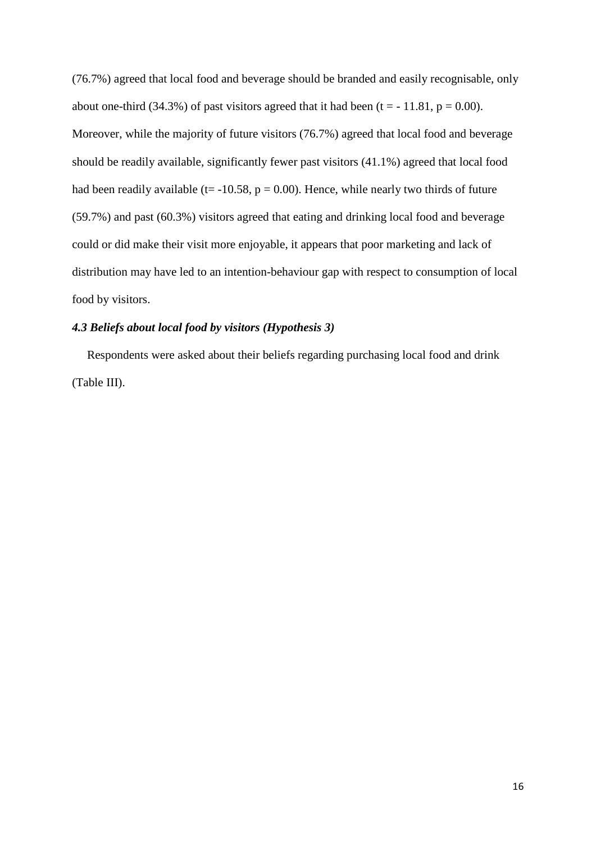(76.7%) agreed that local food and beverage should be branded and easily recognisable, only about one-third (34.3%) of past visitors agreed that it had been (t =  $-11.81$ , p = 0.00). Moreover, while the majority of future visitors (76.7%) agreed that local food and beverage should be readily available, significantly fewer past visitors (41.1%) agreed that local food had been readily available ( $t = -10.58$ ,  $p = 0.00$ ). Hence, while nearly two thirds of future (59.7%) and past (60.3%) visitors agreed that eating and drinking local food and beverage could or did make their visit more enjoyable, it appears that poor marketing and lack of distribution may have led to an intention-behaviour gap with respect to consumption of local food by visitors.

# *4.3 Beliefs about local food by visitors (Hypothesis 3)*

 Respondents were asked about their beliefs regarding purchasing local food and drink (Table III).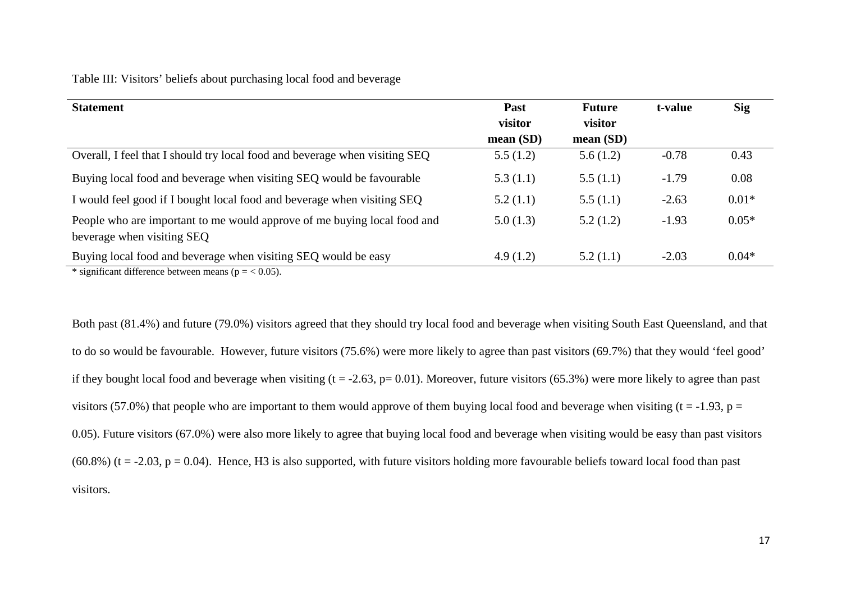# Table III: Visitors' beliefs about purchasing local food and beverage

| <b>Statement</b>                                                                                                        | Past     | <b>Future</b> | t-value | <b>Sig</b> |
|-------------------------------------------------------------------------------------------------------------------------|----------|---------------|---------|------------|
|                                                                                                                         | visitor  | visitor       |         |            |
|                                                                                                                         | mean(SD) | mean $(SD)$   |         |            |
| Overall, I feel that I should try local food and beverage when visiting SEQ                                             | 5.5(1.2) | 5.6(1.2)      | $-0.78$ | 0.43       |
| Buying local food and beverage when visiting SEQ would be favourable                                                    | 5.3(1.1) | 5.5(1.1)      | $-1.79$ | 0.08       |
| I would feel good if I bought local food and beverage when visiting SEQ                                                 | 5.2(1.1) | 5.5(1.1)      | $-2.63$ | $0.01*$    |
| People who are important to me would approve of me buying local food and<br>beverage when visiting SEQ                  | 5.0(1.3) | 5.2(1.2)      | $-1.93$ | $0.05*$    |
| Buying local food and beverage when visiting SEQ would be easy<br>* significant difference between means $(n - z)$ 0.5) | 4.9(1.2) | 5.2(1.1)      | $-2.03$ | $0.04*$    |

significant difference between means ( $p = < 0.05$ ).

Both past (81.4%) and future (79.0%) visitors agreed that they should try local food and beverage when visiting South East Queensland, and that to do so would be favourable. However, future visitors (75.6%) were more likely to agree than past visitors (69.7%) that they would 'feel good' if they bought local food and beverage when visiting  $(t = -2.63, p = 0.01)$ . Moreover, future visitors (65.3%) were more likely to agree than past visitors (57.0%) that people who are important to them would approve of them buying local food and beverage when visiting ( $t = -1.93$ ,  $p =$ 0.05). Future visitors (67.0%) were also more likely to agree that buying local food and beverage when visiting would be easy than past visitors  $(60.8\%)$  (t = -2.03, p = 0.04). Hence, H3 is also supported, with future visitors holding more favourable beliefs toward local food than past visitors.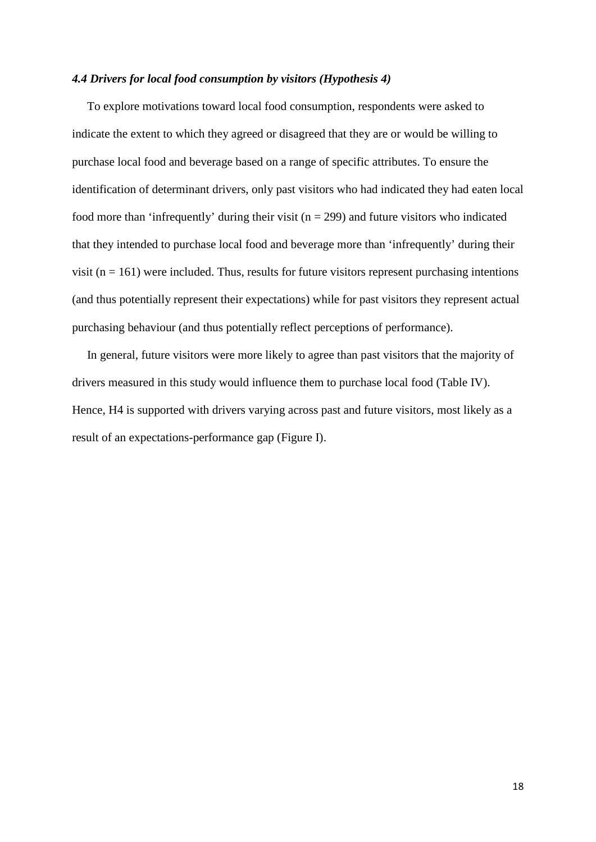#### *4.4 Drivers for local food consumption by visitors (Hypothesis 4)*

 To explore motivations toward local food consumption, respondents were asked to indicate the extent to which they agreed or disagreed that they are or would be willing to purchase local food and beverage based on a range of specific attributes. To ensure the identification of determinant drivers, only past visitors who had indicated they had eaten local food more than 'infrequently' during their visit ( $n = 299$ ) and future visitors who indicated that they intended to purchase local food and beverage more than 'infrequently' during their visit ( $n = 161$ ) were included. Thus, results for future visitors represent purchasing intentions (and thus potentially represent their expectations) while for past visitors they represent actual purchasing behaviour (and thus potentially reflect perceptions of performance).

 In general, future visitors were more likely to agree than past visitors that the majority of drivers measured in this study would influence them to purchase local food (Table IV). Hence, H4 is supported with drivers varying across past and future visitors, most likely as a result of an expectations-performance gap (Figure I).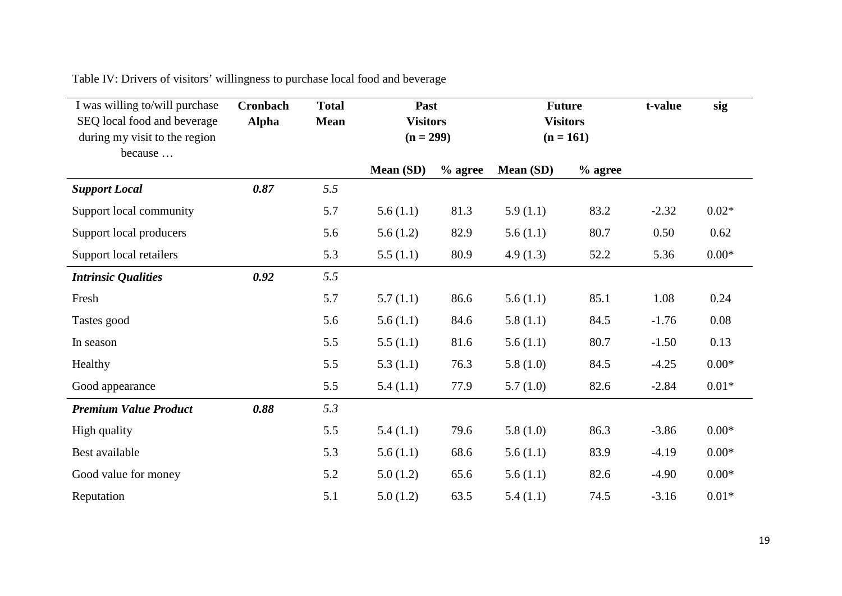Table IV: Drivers of visitors' willingness to purchase local food and beverage

| I was willing to/will purchase                                          | <b>Cronbach</b> | <b>Total</b> | Past                           |           | <b>Future</b>                  |           | t-value | sig     |
|-------------------------------------------------------------------------|-----------------|--------------|--------------------------------|-----------|--------------------------------|-----------|---------|---------|
| SEQ local food and beverage<br>during my visit to the region<br>because | <b>Alpha</b>    | <b>Mean</b>  | <b>Visitors</b><br>$(n = 299)$ |           | <b>Visitors</b><br>$(n = 161)$ |           |         |         |
|                                                                         |                 |              | Mean (SD)                      | $%$ agree | Mean (SD)                      | $%$ agree |         |         |
| <b>Support Local</b>                                                    | 0.87            | 5.5          |                                |           |                                |           |         |         |
| Support local community                                                 |                 | 5.7          | 5.6(1.1)                       | 81.3      | 5.9(1.1)                       | 83.2      | $-2.32$ | $0.02*$ |
| Support local producers                                                 |                 | 5.6          | 5.6(1.2)                       | 82.9      | 5.6(1.1)                       | 80.7      | 0.50    | 0.62    |
| Support local retailers                                                 |                 | 5.3          | 5.5(1.1)                       | 80.9      | 4.9(1.3)                       | 52.2      | 5.36    | $0.00*$ |
| <b>Intrinsic Qualities</b>                                              | 0.92            | 5.5          |                                |           |                                |           |         |         |
| Fresh                                                                   |                 | 5.7          | 5.7(1.1)                       | 86.6      | 5.6(1.1)                       | 85.1      | 1.08    | 0.24    |
| Tastes good                                                             |                 | 5.6          | 5.6(1.1)                       | 84.6      | 5.8(1.1)                       | 84.5      | $-1.76$ | 0.08    |
| In season                                                               |                 | 5.5          | 5.5(1.1)                       | 81.6      | 5.6(1.1)                       | 80.7      | $-1.50$ | 0.13    |
| Healthy                                                                 |                 | 5.5          | 5.3(1.1)                       | 76.3      | 5.8(1.0)                       | 84.5      | $-4.25$ | $0.00*$ |
| Good appearance                                                         |                 | 5.5          | 5.4(1.1)                       | 77.9      | 5.7(1.0)                       | 82.6      | $-2.84$ | $0.01*$ |
| <b>Premium Value Product</b>                                            | 0.88            | 5.3          |                                |           |                                |           |         |         |
| High quality                                                            |                 | 5.5          | 5.4(1.1)                       | 79.6      | 5.8(1.0)                       | 86.3      | $-3.86$ | $0.00*$ |
| Best available                                                          |                 | 5.3          | 5.6(1.1)                       | 68.6      | 5.6(1.1)                       | 83.9      | $-4.19$ | $0.00*$ |
| Good value for money                                                    |                 | 5.2          | 5.0(1.2)                       | 65.6      | 5.6(1.1)                       | 82.6      | $-4.90$ | $0.00*$ |
| Reputation                                                              |                 | 5.1          | 5.0(1.2)                       | 63.5      | 5.4(1.1)                       | 74.5      | $-3.16$ | $0.01*$ |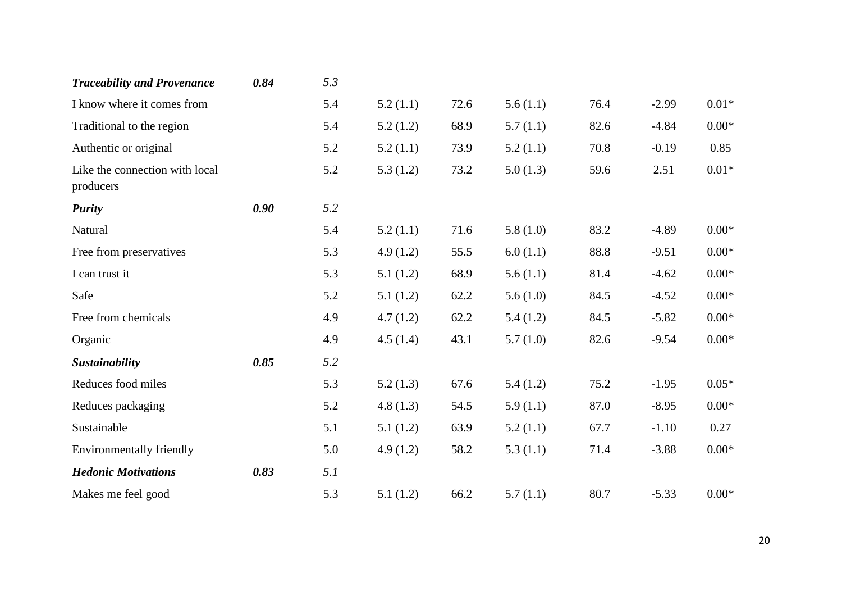| <b>Traceability and Provenance</b>          | 0.84 | 5.3 |          |      |          |      |         |         |
|---------------------------------------------|------|-----|----------|------|----------|------|---------|---------|
| I know where it comes from                  |      | 5.4 | 5.2(1.1) | 72.6 | 5.6(1.1) | 76.4 | $-2.99$ | $0.01*$ |
| Traditional to the region                   |      | 5.4 | 5.2(1.2) | 68.9 | 5.7(1.1) | 82.6 | $-4.84$ | $0.00*$ |
| Authentic or original                       |      | 5.2 | 5.2(1.1) | 73.9 | 5.2(1.1) | 70.8 | $-0.19$ | 0.85    |
| Like the connection with local<br>producers |      | 5.2 | 5.3(1.2) | 73.2 | 5.0(1.3) | 59.6 | 2.51    | $0.01*$ |
| <b>Purity</b>                               | 0.90 | 5.2 |          |      |          |      |         |         |
| Natural                                     |      | 5.4 | 5.2(1.1) | 71.6 | 5.8(1.0) | 83.2 | $-4.89$ | $0.00*$ |
| Free from preservatives                     |      | 5.3 | 4.9(1.2) | 55.5 | 6.0(1.1) | 88.8 | $-9.51$ | $0.00*$ |
| I can trust it                              |      | 5.3 | 5.1(1.2) | 68.9 | 5.6(1.1) | 81.4 | $-4.62$ | $0.00*$ |
| Safe                                        |      | 5.2 | 5.1(1.2) | 62.2 | 5.6(1.0) | 84.5 | $-4.52$ | $0.00*$ |
| Free from chemicals                         |      | 4.9 | 4.7(1.2) | 62.2 | 5.4(1.2) | 84.5 | $-5.82$ | $0.00*$ |
| Organic                                     |      | 4.9 | 4.5(1.4) | 43.1 | 5.7(1.0) | 82.6 | $-9.54$ | $0.00*$ |
| Sustainability                              | 0.85 | 5.2 |          |      |          |      |         |         |
| Reduces food miles                          |      | 5.3 | 5.2(1.3) | 67.6 | 5.4(1.2) | 75.2 | $-1.95$ | $0.05*$ |
| Reduces packaging                           |      | 5.2 | 4.8(1.3) | 54.5 | 5.9(1.1) | 87.0 | $-8.95$ | $0.00*$ |
| Sustainable                                 |      | 5.1 | 5.1(1.2) | 63.9 | 5.2(1.1) | 67.7 | $-1.10$ | 0.27    |
| <b>Environmentally friendly</b>             |      | 5.0 | 4.9(1.2) | 58.2 | 5.3(1.1) | 71.4 | $-3.88$ | $0.00*$ |
| <b>Hedonic Motivations</b>                  | 0.83 | 5.1 |          |      |          |      |         |         |
| Makes me feel good                          |      | 5.3 | 5.1(1.2) | 66.2 | 5.7(1.1) | 80.7 | $-5.33$ | $0.00*$ |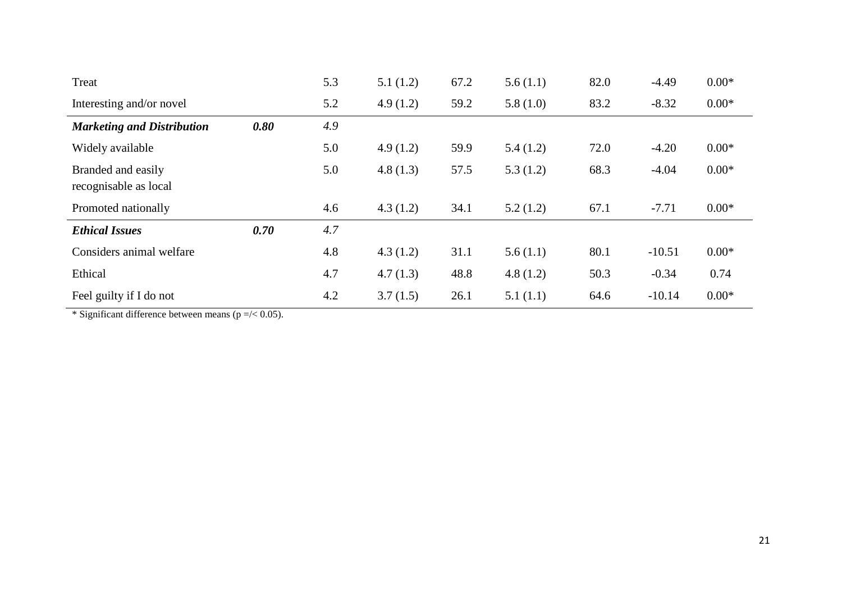| Treat                                       |      | 5.3 | 5.1(1.2) | 67.2 | 5.6(1.1) | 82.0 | $-4.49$  | $0.00*$ |
|---------------------------------------------|------|-----|----------|------|----------|------|----------|---------|
| Interesting and/or novel                    |      | 5.2 | 4.9(1.2) | 59.2 | 5.8(1.0) | 83.2 | $-8.32$  | $0.00*$ |
| <b>Marketing and Distribution</b>           | 0.80 | 4.9 |          |      |          |      |          |         |
| Widely available                            |      | 5.0 | 4.9(1.2) | 59.9 | 5.4(1.2) | 72.0 | $-4.20$  | $0.00*$ |
| Branded and easily<br>recognisable as local |      | 5.0 | 4.8(1.3) | 57.5 | 5.3(1.2) | 68.3 | $-4.04$  | $0.00*$ |
| Promoted nationally                         |      | 4.6 | 4.3(1.2) | 34.1 | 5.2(1.2) | 67.1 | $-7.71$  | $0.00*$ |
| <b>Ethical Issues</b>                       | 0.70 | 4.7 |          |      |          |      |          |         |
| Considers animal welfare                    |      | 4.8 | 4.3(1.2) | 31.1 | 5.6(1.1) | 80.1 | $-10.51$ | $0.00*$ |
| Ethical                                     |      | 4.7 | 4.7(1.3) | 48.8 | 4.8(1.2) | 50.3 | $-0.34$  | 0.74    |
| Feel guilty if I do not                     |      | 4.2 | 3.7(1.5) | 26.1 | 5.1(1.1) | 64.6 | $-10.14$ | $0.00*$ |

\* Significant difference between means ( $p = / < 0.05$ ).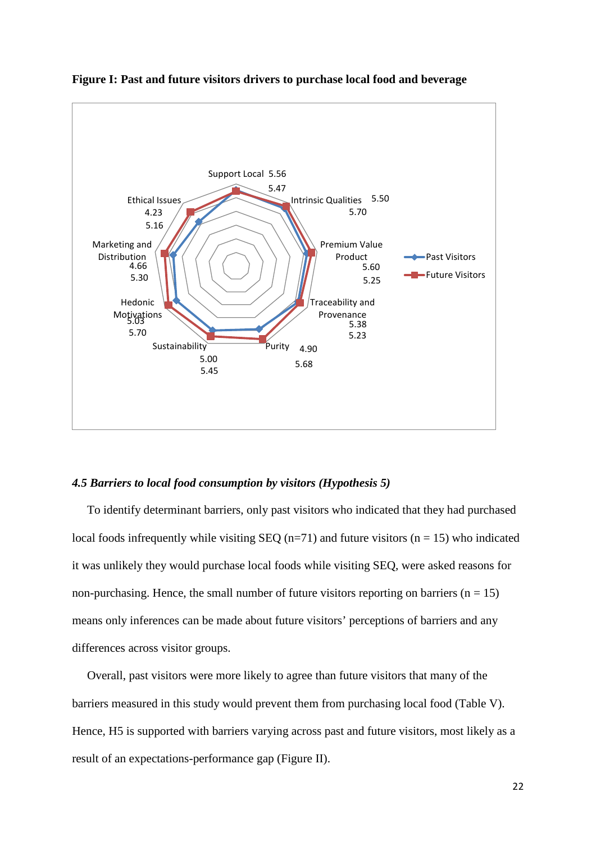

**Figure I: Past and future visitors drivers to purchase local food and beverage**

#### *4.5 Barriers to local food consumption by visitors (Hypothesis 5)*

 To identify determinant barriers, only past visitors who indicated that they had purchased local foods infrequently while visiting SEQ ( $n=71$ ) and future visitors ( $n = 15$ ) who indicated it was unlikely they would purchase local foods while visiting SEQ, were asked reasons for non-purchasing. Hence, the small number of future visitors reporting on barriers  $(n = 15)$ means only inferences can be made about future visitors' perceptions of barriers and any differences across visitor groups.

 Overall, past visitors were more likely to agree than future visitors that many of the barriers measured in this study would prevent them from purchasing local food (Table V). Hence, H5 is supported with barriers varying across past and future visitors, most likely as a result of an expectations-performance gap (Figure II).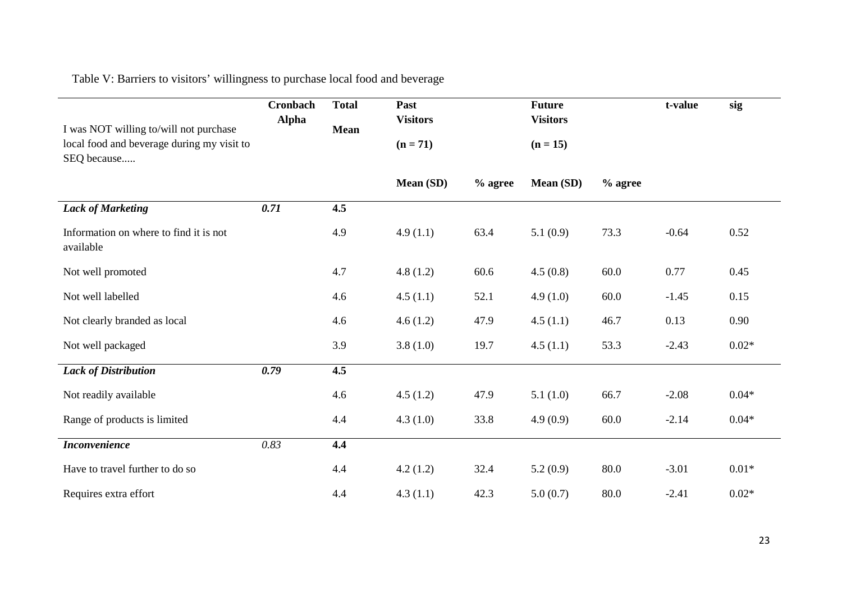Table V: Barriers to visitors' willingness to purchase local food and beverage

| I was NOT willing to/will not purchase                    | Cronbach<br><b>Alpha</b> | <b>Total</b><br><b>Mean</b> | Past<br><b>Visitors</b> |           | <b>Future</b><br><b>Visitors</b> | t-value   | sig     |         |
|-----------------------------------------------------------|--------------------------|-----------------------------|-------------------------|-----------|----------------------------------|-----------|---------|---------|
| local food and beverage during my visit to<br>SEQ because |                          |                             | $(n = 71)$              |           | $(n = 15)$                       |           |         |         |
|                                                           |                          |                             | Mean (SD)               | $%$ agree | <b>Mean (SD)</b>                 | $%$ agree |         |         |
| <b>Lack of Marketing</b>                                  | 0.71                     | 4.5                         |                         |           |                                  |           |         |         |
| Information on where to find it is not<br>available       |                          | 4.9                         | 4.9(1.1)                | 63.4      | 5.1(0.9)                         | 73.3      | $-0.64$ | 0.52    |
| Not well promoted                                         |                          | 4.7                         | 4.8(1.2)                | 60.6      | 4.5(0.8)                         | 60.0      | 0.77    | 0.45    |
| Not well labelled                                         |                          | 4.6                         | 4.5(1.1)                | 52.1      | 4.9(1.0)                         | 60.0      | $-1.45$ | 0.15    |
| Not clearly branded as local                              |                          | 4.6                         | 4.6(1.2)                | 47.9      | 4.5(1.1)                         | 46.7      | 0.13    | 0.90    |
| Not well packaged                                         |                          | 3.9                         | 3.8(1.0)                | 19.7      | 4.5(1.1)                         | 53.3      | $-2.43$ | $0.02*$ |
| <b>Lack of Distribution</b>                               | 0.79                     | 4.5                         |                         |           |                                  |           |         |         |
| Not readily available                                     |                          | 4.6                         | 4.5(1.2)                | 47.9      | 5.1(1.0)                         | 66.7      | $-2.08$ | $0.04*$ |
| Range of products is limited                              |                          | 4.4                         | 4.3(1.0)                | 33.8      | 4.9(0.9)                         | 60.0      | $-2.14$ | $0.04*$ |
| <b>Inconvenience</b>                                      | 0.83                     | 4.4                         |                         |           |                                  |           |         |         |
| Have to travel further to do so                           |                          | 4.4                         | 4.2(1.2)                | 32.4      | 5.2(0.9)                         | 80.0      | $-3.01$ | $0.01*$ |
| Requires extra effort                                     |                          | 4.4                         | 4.3(1.1)                | 42.3      | 5.0(0.7)                         | 80.0      | $-2.41$ | $0.02*$ |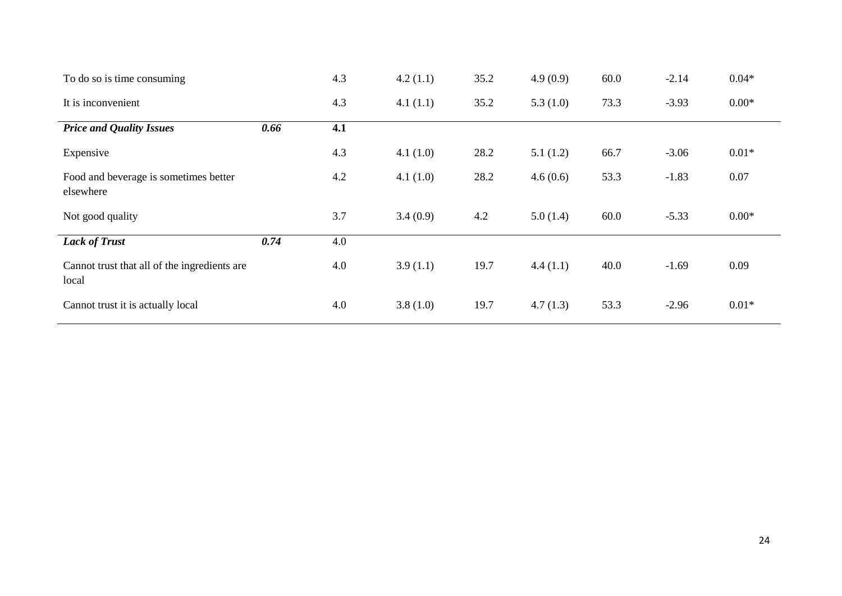| To do so is time consuming                            |      | 4.3 | 4.2(1.1) | 35.2 | 4.9(0.9)    | 60.0 | $-2.14$ | $0.04*$ |
|-------------------------------------------------------|------|-----|----------|------|-------------|------|---------|---------|
| It is inconvenient                                    |      | 4.3 | 4.1(1.1) | 35.2 | 5.3 $(1.0)$ | 73.3 | $-3.93$ | $0.00*$ |
| <b>Price and Quality Issues</b>                       | 0.66 | 4.1 |          |      |             |      |         |         |
| Expensive                                             |      | 4.3 | 4.1(1.0) | 28.2 | 5.1(1.2)    | 66.7 | $-3.06$ | $0.01*$ |
| Food and beverage is sometimes better<br>elsewhere    |      | 4.2 | 4.1(1.0) | 28.2 | 4.6(0.6)    | 53.3 | $-1.83$ | 0.07    |
| Not good quality                                      |      | 3.7 | 3.4(0.9) | 4.2  | 5.0(1.4)    | 60.0 | $-5.33$ | $0.00*$ |
| <b>Lack of Trust</b>                                  | 0.74 | 4.0 |          |      |             |      |         |         |
| Cannot trust that all of the ingredients are<br>local |      | 4.0 | 3.9(1.1) | 19.7 | 4.4(1.1)    | 40.0 | $-1.69$ | 0.09    |
| Cannot trust it is actually local                     |      | 4.0 | 3.8(1.0) | 19.7 | 4.7(1.3)    | 53.3 | $-2.96$ | $0.01*$ |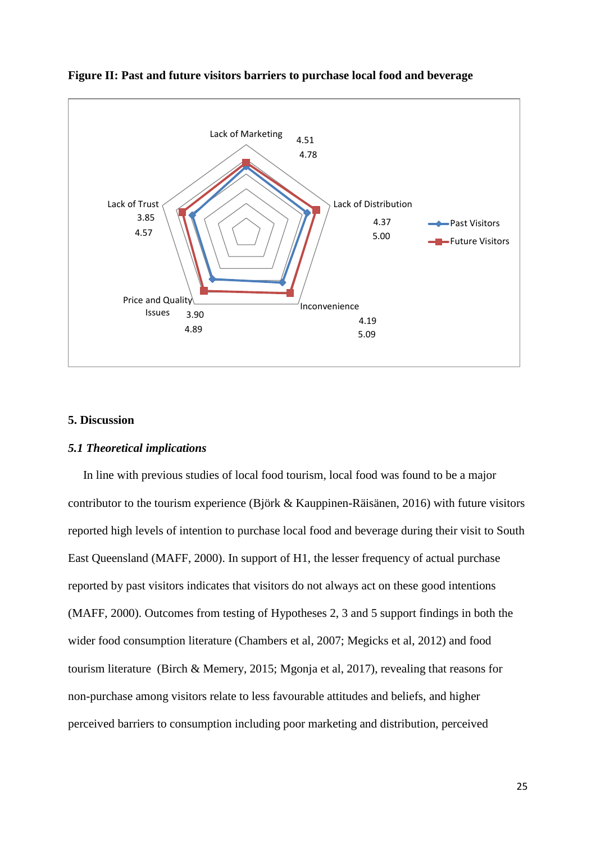

**Figure II: Past and future visitors barriers to purchase local food and beverage**

#### **5. Discussion**

#### *5.1 Theoretical implications*

 In line with previous studies of local food tourism, local food was found to be a major contributor to the tourism experience (Björk & Kauppinen-Räisänen, 2016) with future visitors reported high levels of intention to purchase local food and beverage during their visit to South East Queensland (MAFF, 2000). In support of H1, the lesser frequency of actual purchase reported by past visitors indicates that visitors do not always act on these good intentions (MAFF, 2000). Outcomes from testing of Hypotheses 2, 3 and 5 support findings in both the wider food consumption literature (Chambers et al, 2007; Megicks et al, 2012) and food tourism literature (Birch & Memery, 2015; Mgonja et al, 2017), revealing that reasons for non-purchase among visitors relate to less favourable attitudes and beliefs, and higher perceived barriers to consumption including poor marketing and distribution, perceived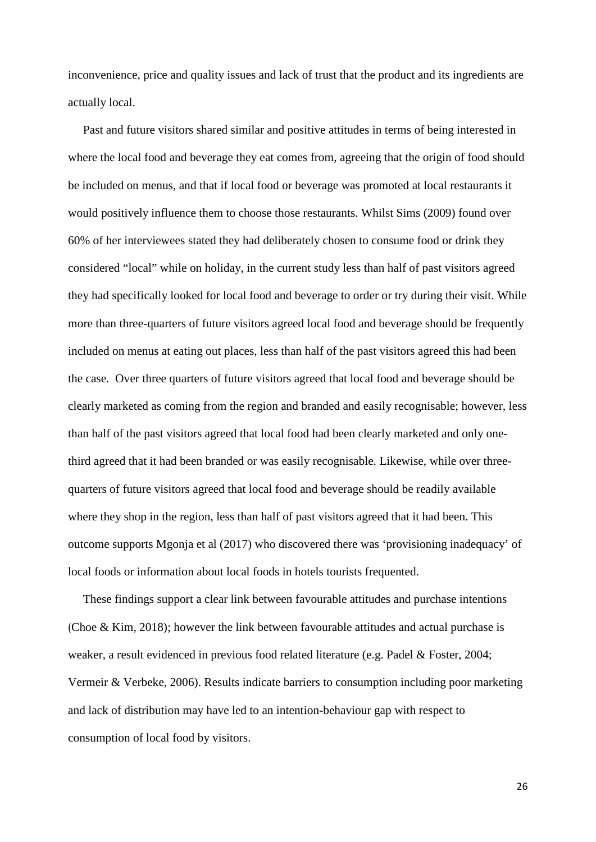inconvenience, price and quality issues and lack of trust that the product and its ingredients are actually local.

 Past and future visitors shared similar and positive attitudes in terms of being interested in where the local food and beverage they eat comes from, agreeing that the origin of food should be included on menus, and that if local food or beverage was promoted at local restaurants it would positively influence them to choose those restaurants. Whilst Sims (2009) found over 60% of her interviewees stated they had deliberately chosen to consume food or drink they considered "local" while on holiday, in the current study less than half of past visitors agreed they had specifically looked for local food and beverage to order or try during their visit. While more than three-quarters of future visitors agreed local food and beverage should be frequently included on menus at eating out places, less than half of the past visitors agreed this had been the case. Over three quarters of future visitors agreed that local food and beverage should be clearly marketed as coming from the region and branded and easily recognisable; however, less than half of the past visitors agreed that local food had been clearly marketed and only onethird agreed that it had been branded or was easily recognisable. Likewise, while over threequarters of future visitors agreed that local food and beverage should be readily available where they shop in the region, less than half of past visitors agreed that it had been. This outcome supports Mgonja et al (2017) who discovered there was 'provisioning inadequacy' of local foods or information about local foods in hotels tourists frequented.

 These findings support a clear link between favourable attitudes and purchase intentions (Choe & Kim, 2018); however the link between favourable attitudes and actual purchase is weaker, a result evidenced in previous food related literature (e.g. Padel & Foster, 2004; Vermeir & Verbeke, 2006). Results indicate barriers to consumption including poor marketing and lack of distribution may have led to an intention-behaviour gap with respect to consumption of local food by visitors.

26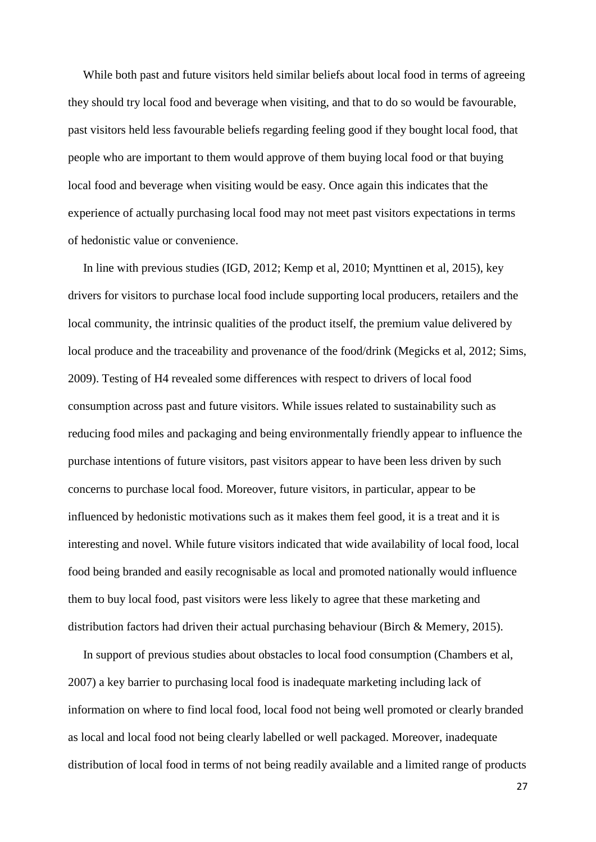While both past and future visitors held similar beliefs about local food in terms of agreeing they should try local food and beverage when visiting, and that to do so would be favourable, past visitors held less favourable beliefs regarding feeling good if they bought local food, that people who are important to them would approve of them buying local food or that buying local food and beverage when visiting would be easy. Once again this indicates that the experience of actually purchasing local food may not meet past visitors expectations in terms of hedonistic value or convenience.

 In line with previous studies (IGD, 2012; Kemp et al, 2010; Mynttinen et al, 2015), key drivers for visitors to purchase local food include supporting local producers, retailers and the local community, the intrinsic qualities of the product itself, the premium value delivered by local produce and the traceability and provenance of the food/drink (Megicks et al, 2012; Sims, 2009). Testing of H4 revealed some differences with respect to drivers of local food consumption across past and future visitors. While issues related to sustainability such as reducing food miles and packaging and being environmentally friendly appear to influence the purchase intentions of future visitors, past visitors appear to have been less driven by such concerns to purchase local food. Moreover, future visitors, in particular, appear to be influenced by hedonistic motivations such as it makes them feel good, it is a treat and it is interesting and novel. While future visitors indicated that wide availability of local food, local food being branded and easily recognisable as local and promoted nationally would influence them to buy local food, past visitors were less likely to agree that these marketing and distribution factors had driven their actual purchasing behaviour (Birch & Memery, 2015).

 In support of previous studies about obstacles to local food consumption (Chambers et al, 2007) a key barrier to purchasing local food is inadequate marketing including lack of information on where to find local food, local food not being well promoted or clearly branded as local and local food not being clearly labelled or well packaged. Moreover, inadequate distribution of local food in terms of not being readily available and a limited range of products

27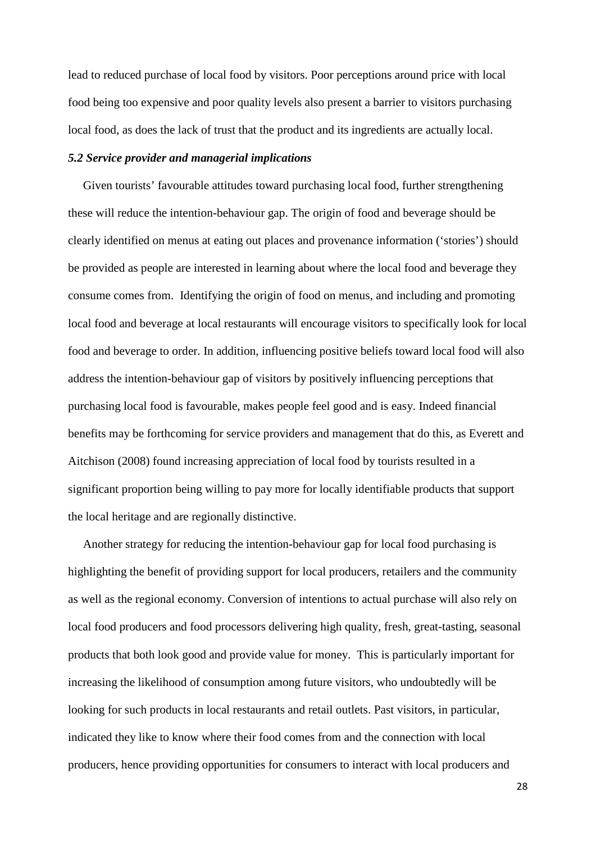lead to reduced purchase of local food by visitors. Poor perceptions around price with local food being too expensive and poor quality levels also present a barrier to visitors purchasing local food, as does the lack of trust that the product and its ingredients are actually local.

#### *5.2 Service provider and managerial implications*

 Given tourists' favourable attitudes toward purchasing local food, further strengthening these will reduce the intention-behaviour gap. The origin of food and beverage should be clearly identified on menus at eating out places and provenance information ('stories') should be provided as people are interested in learning about where the local food and beverage they consume comes from. Identifying the origin of food on menus, and including and promoting local food and beverage at local restaurants will encourage visitors to specifically look for local food and beverage to order. In addition, influencing positive beliefs toward local food will also address the intention-behaviour gap of visitors by positively influencing perceptions that purchasing local food is favourable, makes people feel good and is easy. Indeed financial benefits may be forthcoming for service providers and management that do this, as Everett and Aitchison (2008) found increasing appreciation of local food by tourists resulted in a significant proportion being willing to pay more for locally identifiable products that support the local heritage and are regionally distinctive.

 Another strategy for reducing the intention-behaviour gap for local food purchasing is highlighting the benefit of providing support for local producers, retailers and the community as well as the regional economy. Conversion of intentions to actual purchase will also rely on local food producers and food processors delivering high quality, fresh, great-tasting, seasonal products that both look good and provide value for money. This is particularly important for increasing the likelihood of consumption among future visitors, who undoubtedly will be looking for such products in local restaurants and retail outlets. Past visitors, in particular, indicated they like to know where their food comes from and the connection with local producers, hence providing opportunities for consumers to interact with local producers and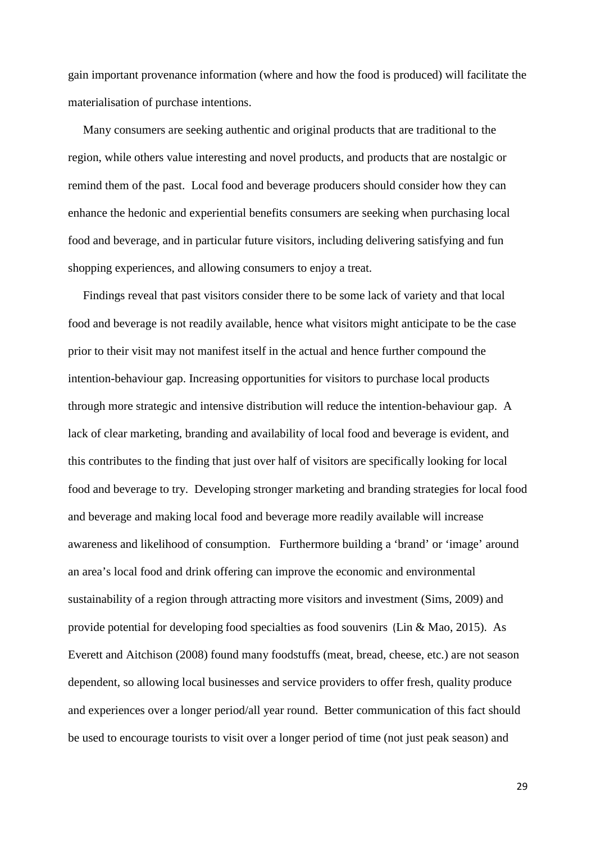gain important provenance information (where and how the food is produced) will facilitate the materialisation of purchase intentions.

 Many consumers are seeking authentic and original products that are traditional to the region, while others value interesting and novel products, and products that are nostalgic or remind them of the past. Local food and beverage producers should consider how they can enhance the hedonic and experiential benefits consumers are seeking when purchasing local food and beverage, and in particular future visitors, including delivering satisfying and fun shopping experiences, and allowing consumers to enjoy a treat.

 Findings reveal that past visitors consider there to be some lack of variety and that local food and beverage is not readily available, hence what visitors might anticipate to be the case prior to their visit may not manifest itself in the actual and hence further compound the intention-behaviour gap. Increasing opportunities for visitors to purchase local products through more strategic and intensive distribution will reduce the intention-behaviour gap. A lack of clear marketing, branding and availability of local food and beverage is evident, and this contributes to the finding that just over half of visitors are specifically looking for local food and beverage to try. Developing stronger marketing and branding strategies for local food and beverage and making local food and beverage more readily available will increase awareness and likelihood of consumption. Furthermore building a 'brand' or 'image' around an area's local food and drink offering can improve the economic and environmental sustainability of a region through attracting more visitors and investment (Sims, 2009) and provide potential for developing food specialties as food souvenirs (Lin & Mao, 2015). As Everett and Aitchison (2008) found many foodstuffs (meat, bread, cheese, etc.) are not season dependent, so allowing local businesses and service providers to offer fresh, quality produce and experiences over a longer period/all year round. Better communication of this fact should be used to encourage tourists to visit over a longer period of time (not just peak season) and

29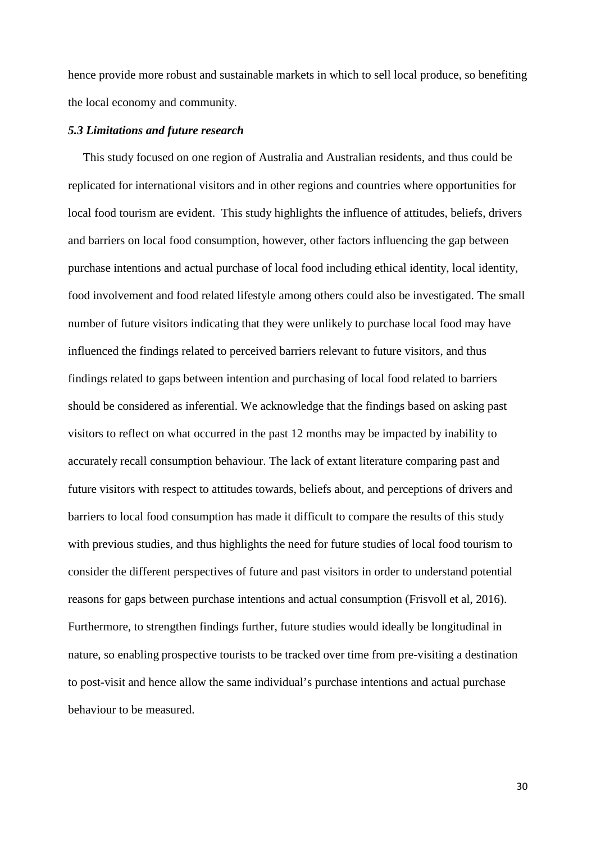hence provide more robust and sustainable markets in which to sell local produce, so benefiting the local economy and community.

### *5.3 Limitations and future research*

 This study focused on one region of Australia and Australian residents, and thus could be replicated for international visitors and in other regions and countries where opportunities for local food tourism are evident. This study highlights the influence of attitudes, beliefs, drivers and barriers on local food consumption, however, other factors influencing the gap between purchase intentions and actual purchase of local food including ethical identity, local identity, food involvement and food related lifestyle among others could also be investigated. The small number of future visitors indicating that they were unlikely to purchase local food may have influenced the findings related to perceived barriers relevant to future visitors, and thus findings related to gaps between intention and purchasing of local food related to barriers should be considered as inferential. We acknowledge that the findings based on asking past visitors to reflect on what occurred in the past 12 months may be impacted by inability to accurately recall consumption behaviour. The lack of extant literature comparing past and future visitors with respect to attitudes towards, beliefs about, and perceptions of drivers and barriers to local food consumption has made it difficult to compare the results of this study with previous studies, and thus highlights the need for future studies of local food tourism to consider the different perspectives of future and past visitors in order to understand potential reasons for gaps between purchase intentions and actual consumption (Frisvoll et al, 2016). Furthermore, to strengthen findings further, future studies would ideally be longitudinal in nature, so enabling prospective tourists to be tracked over time from pre-visiting a destination to post-visit and hence allow the same individual's purchase intentions and actual purchase behaviour to be measured.

30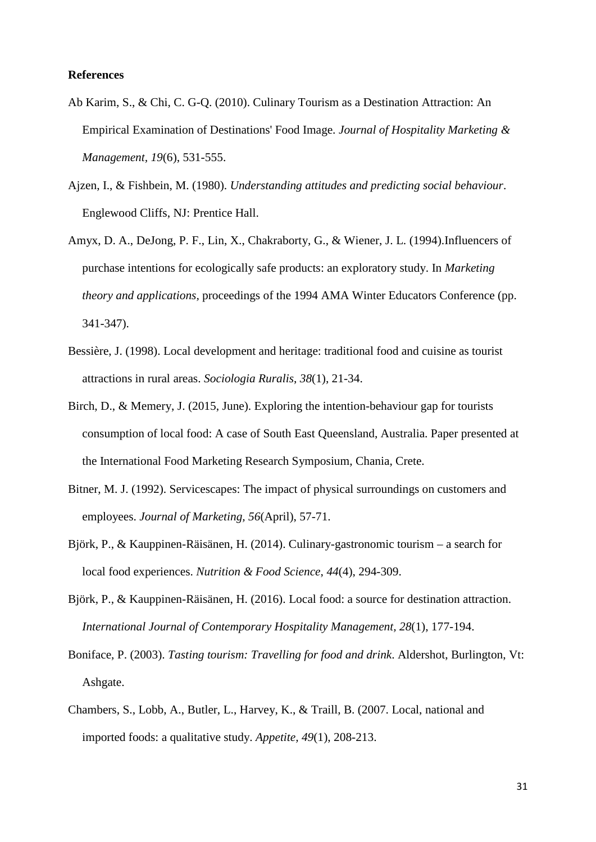## **References**

- Ab Karim, S., & Chi, C. G-Q. (2010). Culinary Tourism as a Destination Attraction: An Empirical Examination of Destinations' Food Image. *Journal of Hospitality Marketing & Management, 19*(6), 531-555.
- Ajzen, I., & Fishbein, M. (1980). *Understanding attitudes and predicting social behaviour*. Englewood Cliffs, NJ: Prentice Hall.
- Amyx, D. A., DeJong, P. F., Lin, X., Chakraborty, G., & Wiener, J. L. (1994).Influencers of purchase intentions for ecologically safe products: an exploratory study. In *Marketing theory and applications,* proceedings of the 1994 AMA Winter Educators Conference (pp. 341-347).
- Bessière, J. (1998). Local development and heritage: traditional food and cuisine as tourist attractions in rural areas. *Sociologia Ruralis*, *38*(1), 21-34.
- Birch, D., & Memery, J. (2015, June). Exploring the intention-behaviour gap for tourists consumption of local food: A case of South East Queensland, Australia. Paper presented at the International Food Marketing Research Symposium, Chania, Crete.
- Bitner, M. J. (1992). Servicescapes: The impact of physical surroundings on customers and employees. *Journal of Marketing, 56*(April), 57-71.
- Björk, P., & Kauppinen-Räisänen, H. (2014). Culinary-gastronomic tourism a search for local food experiences. *Nutrition & Food Science*, *44*(4), 294-309.
- Björk, P., & Kauppinen-Räisänen, H. (2016). Local food: a source for destination attraction. *International Journal of Contemporary Hospitality Management, 28*(1), 177-194.
- Boniface, P. (2003). *Tasting tourism: Travelling for food and drink*. Aldershot, Burlington, Vt: Ashgate.
- Chambers, S., Lobb, A., Butler, L., Harvey, K., & Traill, B. (2007. Local, national and imported foods: a qualitative study. *Appetite, 49*(1), 208-213.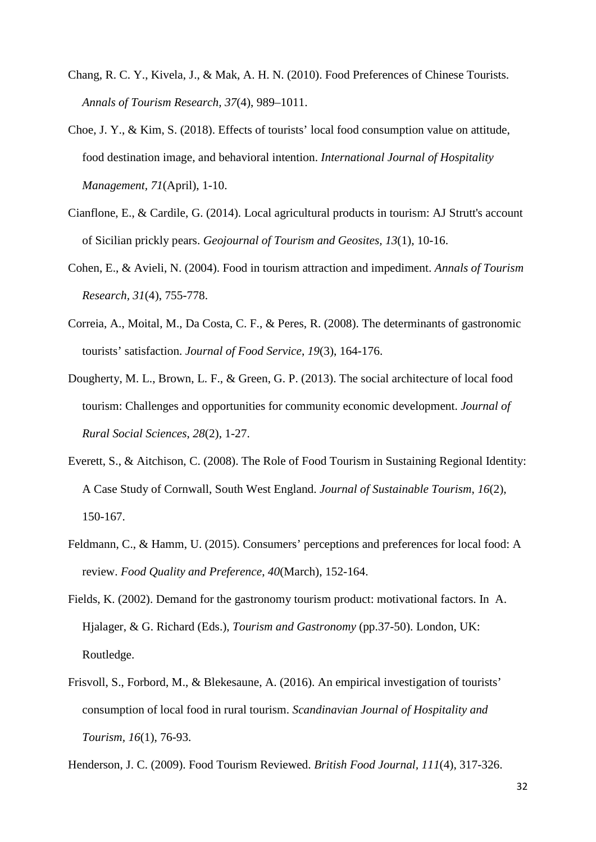- Chang, R. C. Y., Kivela, J., & Mak, A. H. N. (2010). Food Preferences of Chinese Tourists. *Annals of Tourism Research, 37*(4), 989–1011.
- Choe, J. Y., & Kim, S. (2018). Effects of tourists' local food consumption value on attitude, food destination image, and behavioral intention. *International Journal of Hospitality Management, 71*(April), 1-10.
- Cianflone, E., & Cardile, G. (2014). Local agricultural products in tourism: AJ Strutt's account of Sicilian prickly pears. *Geojournal of Tourism and Geosites, 13*(1), 10-16.
- Cohen, E., & Avieli, N. (2004). Food in tourism attraction and impediment. *Annals of Tourism Research, 31*(4), 755-778.
- Correia, A., Moital, M., Da Costa, C. F., & Peres, R. (2008). The determinants of gastronomic tourists' satisfaction. *Journal of Food Service*, *19*(3), 164-176.
- Dougherty, M. L., Brown, L. F., & Green, G. P. (2013). The social architecture of local food tourism: Challenges and opportunities for community economic development. *Journal of Rural Social Sciences*, *28*(2), 1-27.
- Everett, S., & Aitchison, C. (2008). The Role of Food Tourism in Sustaining Regional Identity: A Case Study of Cornwall, South West England. *Journal of Sustainable Tourism*, *16*(2), 150-167.
- Feldmann, C., & Hamm, U. (2015). Consumers' perceptions and preferences for local food: A review. *Food Quality and Preference*, *40*(March), 152-164.
- Fields, K. (2002). Demand for the gastronomy tourism product: motivational factors. In A. Hjalager, & G. Richard (Eds.), *Tourism and Gastronomy* (pp.37-50). London, UK: Routledge.
- Frisvoll, S., Forbord, M., & Blekesaune, A. (2016). An empirical investigation of tourists' consumption of local food in rural tourism. *Scandinavian Journal of Hospitality and Tourism, 16*(1), 76-93.

Henderson, J. C. (2009). Food Tourism Reviewed. *British Food Journal, 111*(4), 317-326.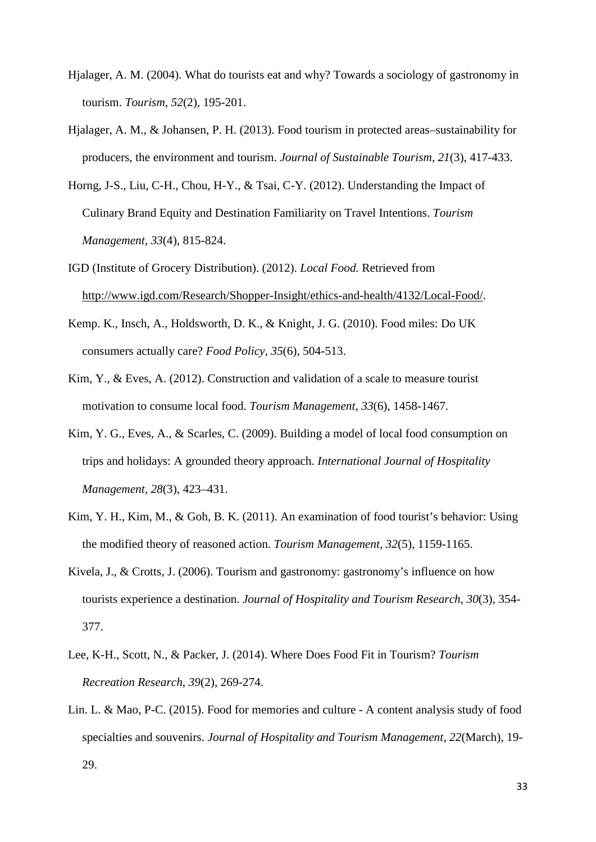- Hjalager, A. M. (2004). What do tourists eat and why? Towards a sociology of gastronomy in tourism. *Tourism*, *52*(2), 195-201.
- Hjalager, A. M., & Johansen, P. H. (2013). Food tourism in protected areas–sustainability for producers, the environment and tourism. *Journal of Sustainable Tourism, 21*(3), 417-433.
- Horng, J-S., Liu, C-H., Chou, H-Y., & Tsai, C-Y. (2012). Understanding the Impact of Culinary Brand Equity and Destination Familiarity on Travel Intentions. *Tourism Management, 33*(4), 815-824.
- IGD (Institute of Grocery Distribution). (2012). *Local Food.* Retrieved from [http://www.igd.com/Research/Shopper-Insight/ethics-and-health/4132/Local-Food/.](http://www.igd.com/Research/Shopper-Insight/ethics-and-health/4132/Local-Food/)
- Kemp. K., Insch, A., Holdsworth, D. K., & Knight, J. G. (2010). Food miles: Do UK consumers actually care? *Food Policy, 35*(6), 504-513.
- Kim, Y., & Eves, A. (2012). Construction and validation of a scale to measure tourist motivation to consume local food. *Tourism Management*, *33*(6), 1458-1467.
- Kim, Y. G., Eves, A., & Scarles, C. (2009). Building a model of local food consumption on trips and holidays: A grounded theory approach. *International Journal of Hospitality Management, 28*(3), 423–431.
- Kim, Y. H., Kim, M., & Goh, B. K. (2011). An examination of food tourist's behavior: Using the modified theory of reasoned action. *Tourism Management, 32*(5), 1159-1165.
- Kivela, J., & Crotts, J. (2006). Tourism and gastronomy: gastronomy's influence on how tourists experience a destination. *Journal of Hospitality and Tourism Research*, *30*(3), 354- 377.
- Lee, K-H., Scott, N., & Packer, J. (2014). Where Does Food Fit in Tourism? *Tourism Recreation Research, 39*(2), 269-274.
- Lin. L. & Mao, P-C. (2015). Food for memories and culture A content analysis study of food specialties and souvenirs. *Journal of Hospitality and Tourism Management, 22*(March), 19- 29.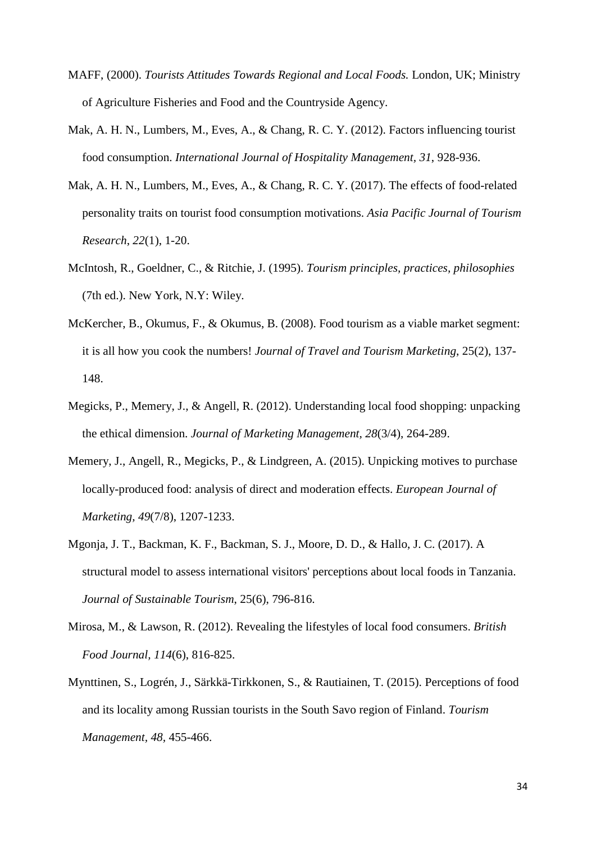- MAFF, (2000). *Tourists Attitudes Towards Regional and Local Foods.* London, UK; Ministry of Agriculture Fisheries and Food and the Countryside Agency.
- Mak, A. H. N., Lumbers, M., Eves, A., & Chang, R. C. Y. (2012). Factors influencing tourist food consumption. *International Journal of Hospitality Management, 31*, 928-936.
- Mak, A. H. N., Lumbers, M., Eves, A., & Chang, R. C. Y. (2017). The effects of food-related personality traits on tourist food consumption motivations. *Asia Pacific Journal of Tourism Research*, *22*(1), 1-20.
- McIntosh, R., Goeldner, C., & Ritchie, J. (1995). *Tourism principles, practices, philosophies*  (7th ed.). New York, N.Y: Wiley.
- McKercher, B., Okumus, F., & Okumus, B. (2008). Food tourism as a viable market segment: it is all how you cook the numbers! *Journal of Travel and Tourism Marketing*, 25(2), 137- 148.
- Megicks, P., Memery, J., & Angell, R. (2012). Understanding local food shopping: unpacking the ethical dimension. *Journal of Marketing Management, 28*(3/4), 264-289.
- Memery, J., Angell, R., Megicks, P., & Lindgreen, A. (2015). Unpicking motives to purchase locally-produced food: analysis of direct and moderation effects. *European Journal of Marketing, 49*(7/8), 1207-1233.
- Mgonja, J. T., Backman, K. F., Backman, S. J., Moore, D. D., & Hallo, J. C. (2017). A structural model to assess international visitors' perceptions about local foods in Tanzania. *Journal of Sustainable Tourism*, 25(6), 796-816.
- Mirosa, M., & Lawson, R. (2012). Revealing the lifestyles of local food consumers. *British Food Journal, 114*(6), 816-825.
- Mynttinen, S., Logrén, J., Särkkä-Tirkkonen, S., & Rautiainen, T. (2015). Perceptions of food and its locality among Russian tourists in the South Savo region of Finland. *Tourism Management, 48,* 455-466.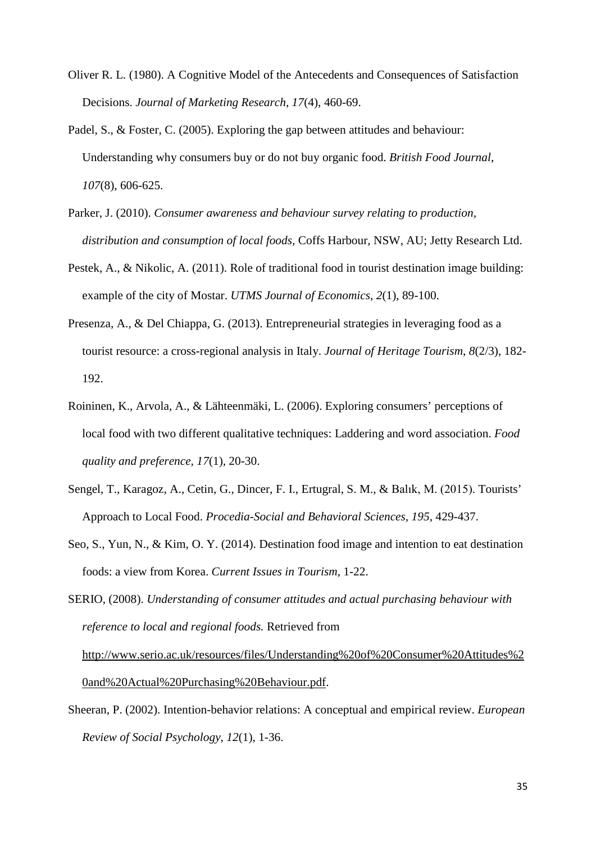- Oliver R. L. (1980). A Cognitive Model of the Antecedents and Consequences of Satisfaction Decisions. *Journal of Marketing Research*, *17*(4), 460-69.
- Padel, S., & Foster, C. (2005). Exploring the gap between attitudes and behaviour: Understanding why consumers buy or do not buy organic food. *British Food Journal*, *107*(8), 606-625.
- Parker, J. (2010). *Consumer awareness and behaviour survey relating to production, distribution and consumption of local foods,* Coffs Harbour, NSW, AU; Jetty Research Ltd.
- Pestek, A., & Nikolic, A. (2011). Role of traditional food in tourist destination image building: example of the city of Mostar. *UTMS Journal of Economics*, *2*(1), 89-100.
- Presenza, A., & Del Chiappa, G. (2013). Entrepreneurial strategies in leveraging food as a tourist resource: a cross-regional analysis in Italy. *Journal of Heritage Tourism*, *8*(2/3), 182- 192.
- Roininen, K., Arvola, A., & Lähteenmäki, L. (2006). Exploring consumers' perceptions of local food with two different qualitative techniques: Laddering and word association. *Food quality and preference, 17*(1), 20-30.
- Sengel, T., Karagoz, A., Cetin, G., Dincer, F. I., Ertugral, S. M., & Balık, M. (2015). Tourists' Approach to Local Food. *Procedia-Social and Behavioral Sciences, 195*, 429-437.
- Seo, S., Yun, N., & Kim, O. Y. (2014). Destination food image and intention to eat destination foods: a view from Korea. *Current Issues in Tourism*, 1-22.
- SERIO, (2008). *Understanding of consumer attitudes and actual purchasing behaviour with reference to local and regional foods.* Retrieved from [http://www.serio.ac.uk/resources/files/Understanding%20of%20Consumer%20Attitudes%2](http://www.serio.ac.uk/resources/files/Understanding%20of%20Consumer%20Attitudes%20and%20Actual%20Purchasing%20Behaviour.pdf) [0and%20Actual%20Purchasing%20Behaviour.pdf.](http://www.serio.ac.uk/resources/files/Understanding%20of%20Consumer%20Attitudes%20and%20Actual%20Purchasing%20Behaviour.pdf)
- Sheeran, P. (2002). Intention-behavior relations: A conceptual and empirical review. *European Review of Social Psychology*, *12*(1), 1-36.